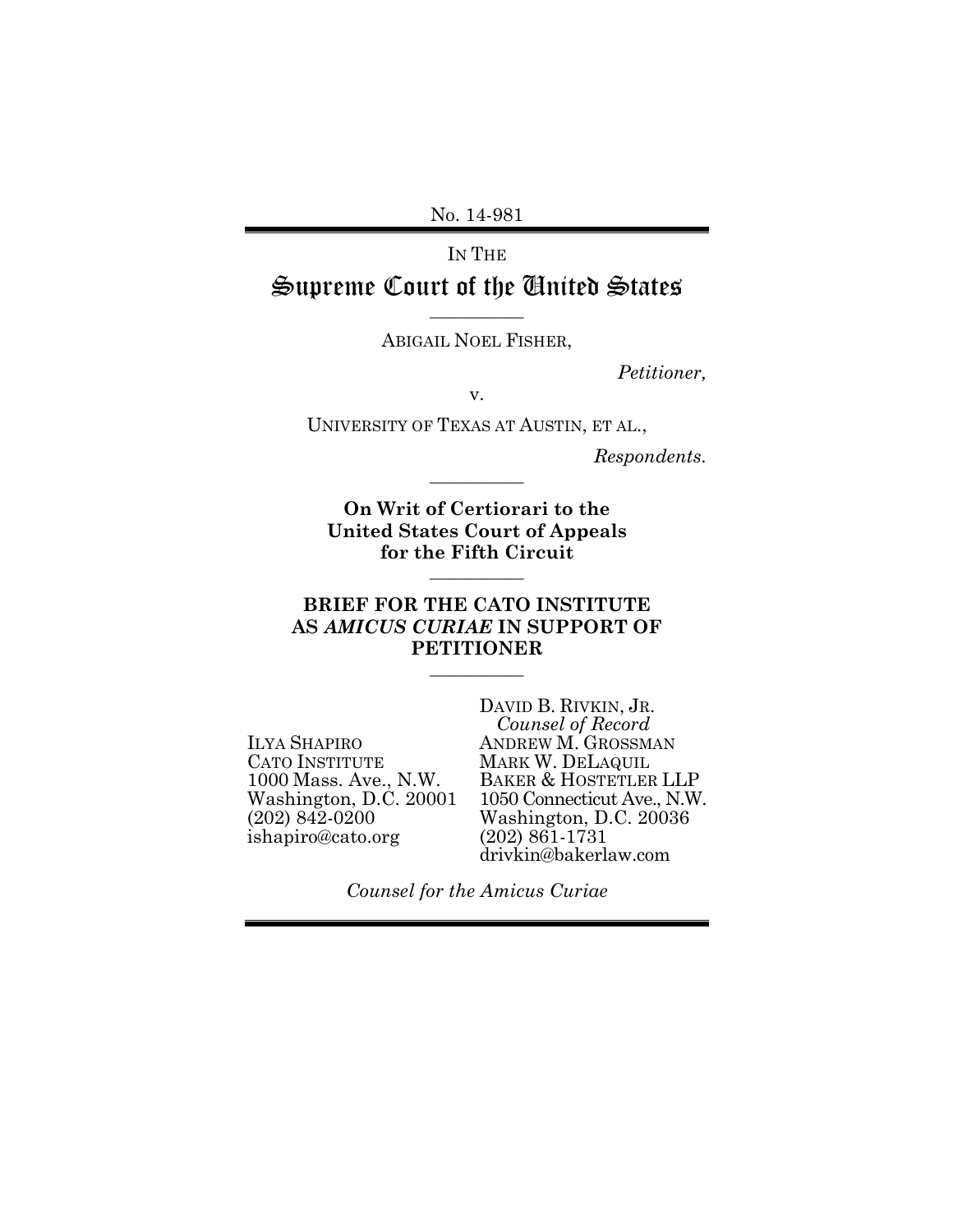No. 14-981

IN THE

Supreme Court of the United States **\_\_\_\_\_\_\_\_\_\_\_**

ABIGAIL NOEL FISHER,

*Petitioner,*

v.

UNIVERSITY OF TEXAS AT AUSTIN, ET AL.,

**\_\_\_\_\_\_\_\_\_\_\_**

*Respondents.*

**On Writ of Certiorari to the United States Court of Appeals for the Fifth Circuit**

**\_\_\_\_\_\_\_\_\_\_\_**

## **BRIEF FOR THE CATO INSTITUTE AS** *AMICUS CURIAE* **IN SUPPORT OF PETITIONER**

**\_\_\_\_\_\_\_\_\_\_\_**

ILYA SHAPIRO CATO INSTITUTE 1000 Mass. Ave., N.W. Washington, D.C. 20001 (202) 842-0200 ishapiro@cato.org

DAVID B. RIVKIN, JR. *Counsel of Record* ANDREW M. GROSSMAN MARK W. DELAQUIL BAKER & HOSTETLER LLP 1050 Connecticut Ave., N.W. Washington, D.C. 20036 (202) 861-1731 drivkin@bakerlaw.com

*Counsel for the Amicus Curiae*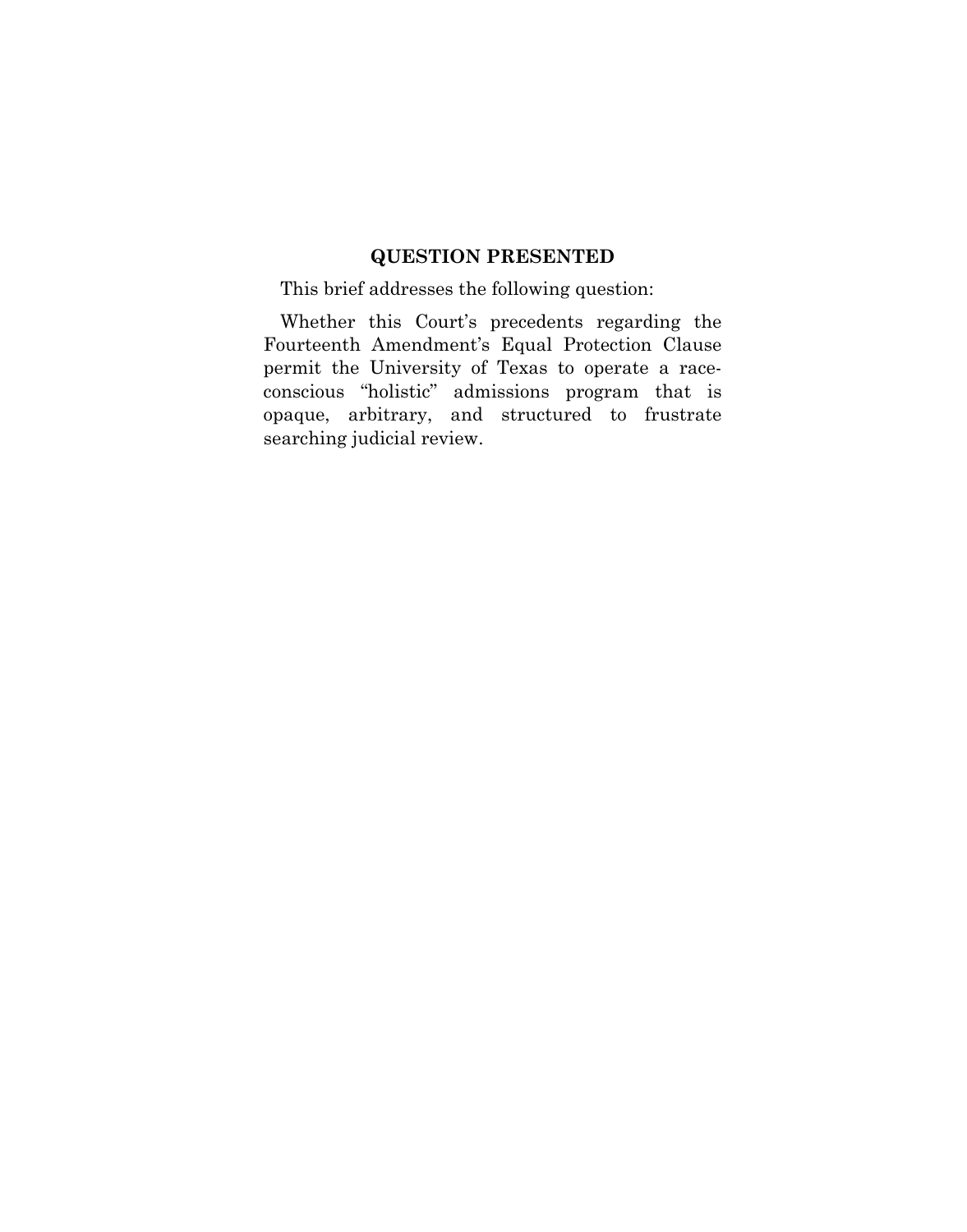## **QUESTION PRESENTED**

This brief addresses the following question:

Whether this Court's precedents regarding the Fourteenth Amendment's Equal Protection Clause permit the University of Texas to operate a raceconscious "holistic" admissions program that is opaque, arbitrary, and structured to frustrate searching judicial review.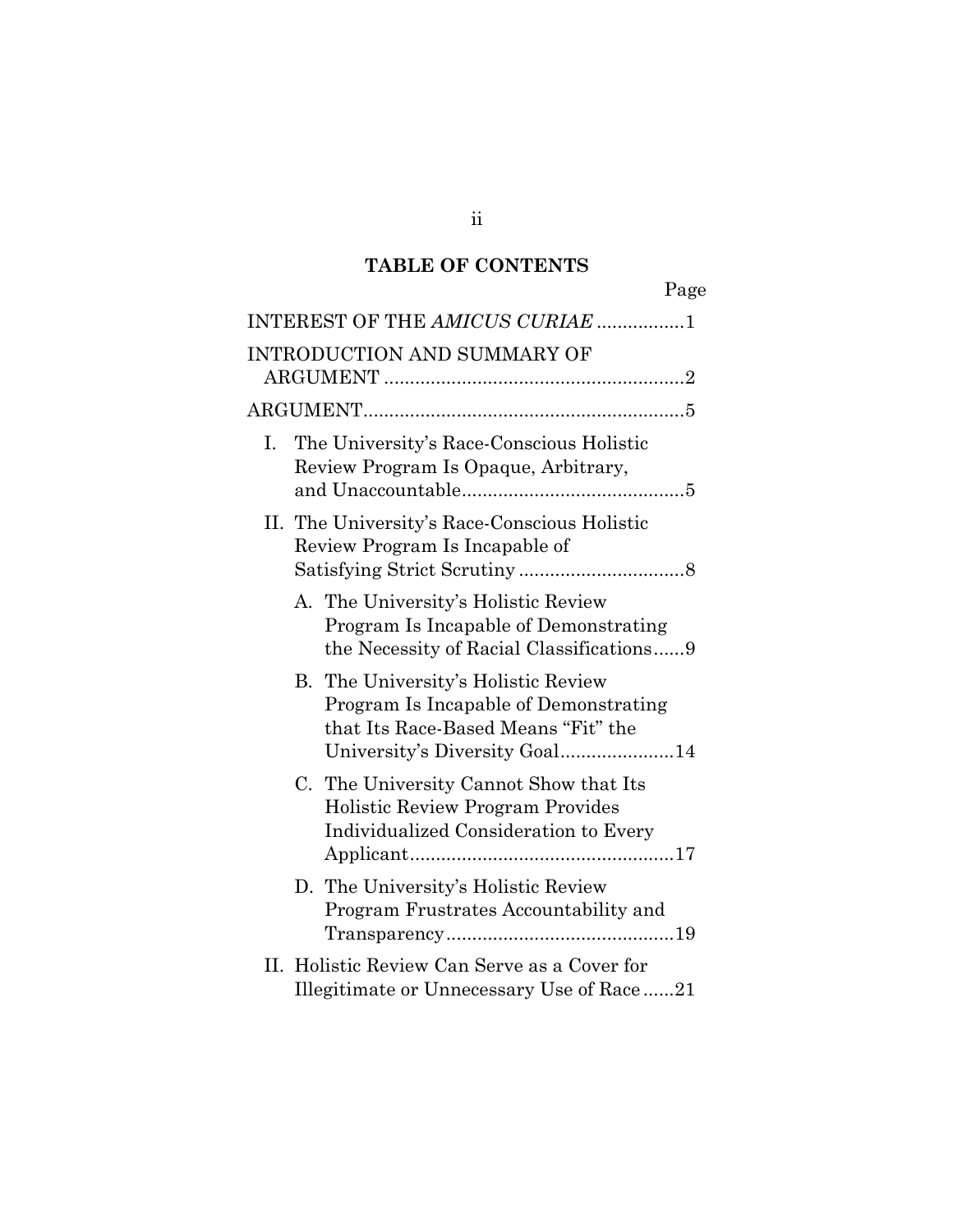# **TABLE OF CONTENTS**

|    |                                                                                                                          | Page |
|----|--------------------------------------------------------------------------------------------------------------------------|------|
|    | INTEREST OF THE AMICUS CURIAE 1                                                                                          |      |
|    | <b>INTRODUCTION AND SUMMARY OF</b>                                                                                       |      |
|    |                                                                                                                          |      |
| Ι. | The University's Race-Conscious Holistic<br>Review Program Is Opaque, Arbitrary,                                         |      |
|    | II. The University's Race-Conscious Holistic<br>Review Program Is Incapable of                                           |      |
|    | A. The University's Holistic Review<br>Program Is Incapable of Demonstrating<br>the Necessity of Racial Classifications9 |      |
|    | B. The University's Holistic Review<br>Program Is Incapable of Demonstrating<br>that Its Race-Based Means "Fit" the      |      |
|    | C. The University Cannot Show that Its<br>Holistic Review Program Provides<br>Individualized Consideration to Every      |      |
|    | D. The University's Holistic Review<br>Program Frustrates Accountability and                                             |      |
|    | II. Holistic Review Can Serve as a Cover for<br>Illegitimate or Unnecessary Use of Race21                                |      |

ii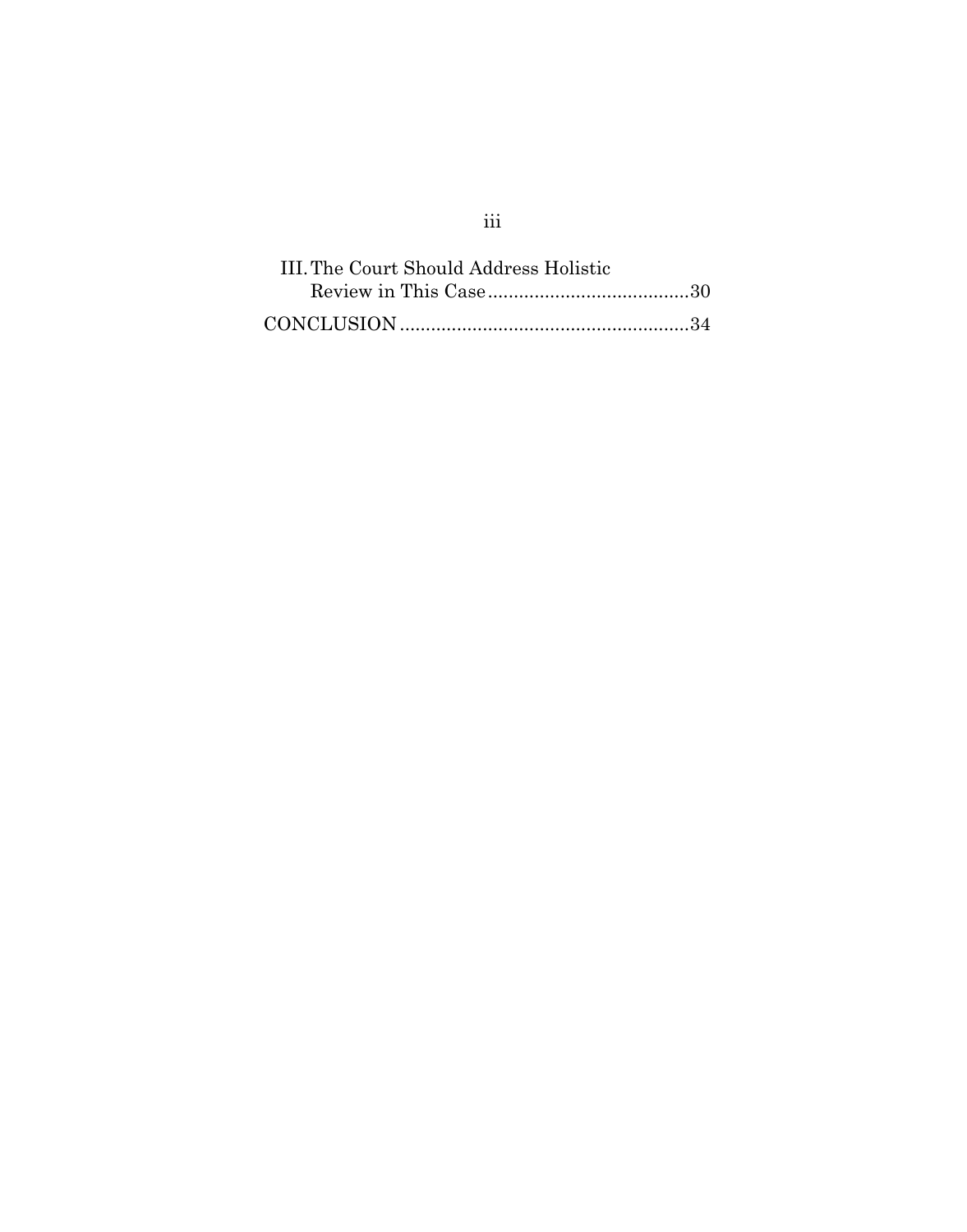| III. The Court Should Address Holistic |  |  |
|----------------------------------------|--|--|
|                                        |  |  |
|                                        |  |  |

# iii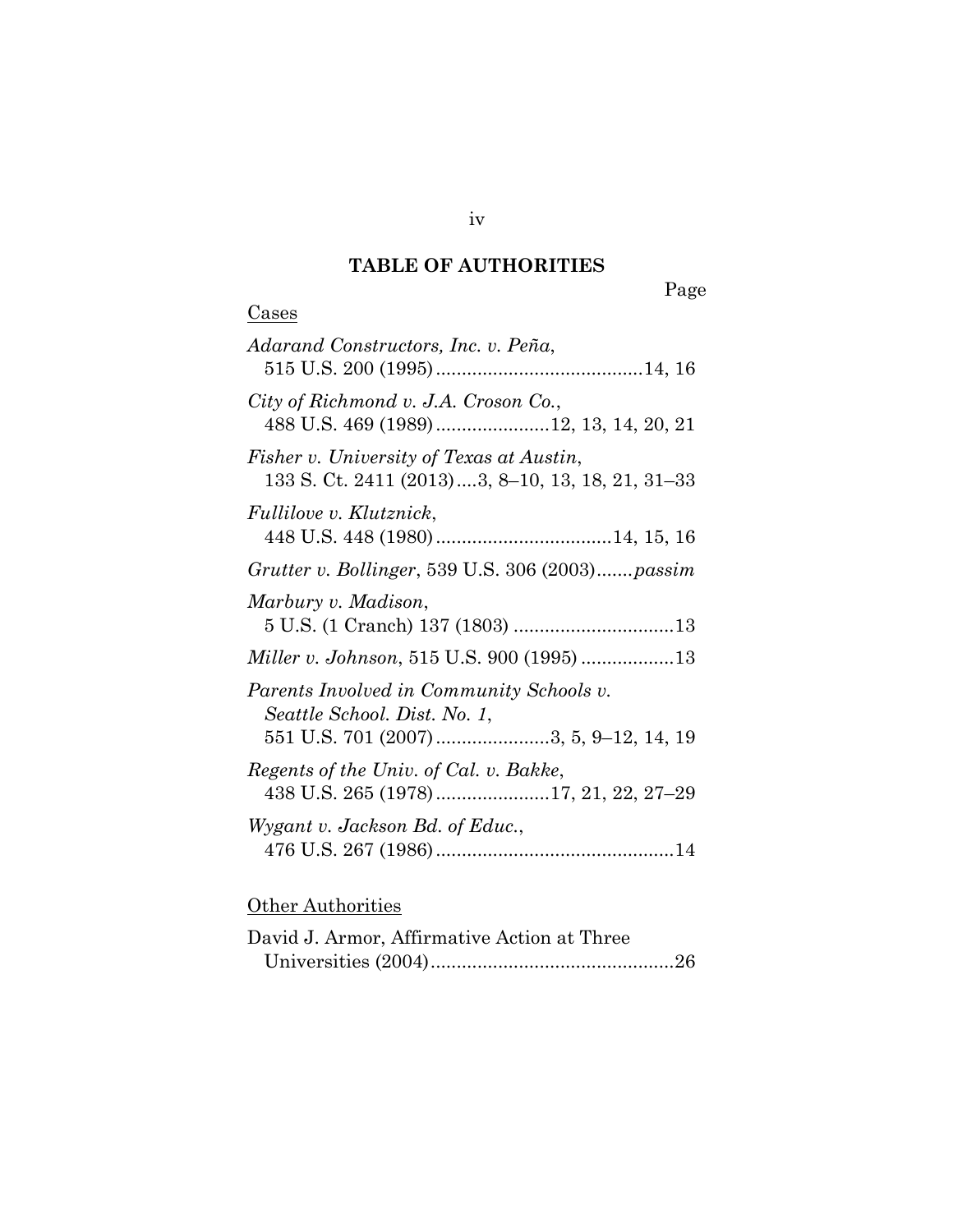# **TABLE OF AUTHORITIES**

Page

| Adarand Constructors, Inc. v. Peña,                                                                               |
|-------------------------------------------------------------------------------------------------------------------|
| City of Richmond v. J.A. Croson Co.,<br>488 U.S. 469 (1989) 12, 13, 14, 20, 21                                    |
| Fisher v. University of Texas at Austin,<br>133 S. Ct. 2411 (2013)3, 8-10, 13, 18, 21, 31-33                      |
| <i>Fullilove v. Klutznick,</i>                                                                                    |
| Grutter v. Bollinger, 539 U.S. 306 (2003) passim                                                                  |
| Marbury v. Madison,                                                                                               |
|                                                                                                                   |
| Parents Involved in Community Schools v.<br>Seattle School. Dist. No. 1,<br>551 U.S. 701 (2007)3, 5, 9-12, 14, 19 |
| Regents of the Univ. of Cal. v. Bakke,<br>438 U.S. 265 (1978)17, 21, 22, 27-29                                    |
| Wygant v. Jackson Bd. of Educ.,                                                                                   |
|                                                                                                                   |

# **Other Authorities**

**Cases** 

| David J. Armor, Affirmative Action at Three |  |
|---------------------------------------------|--|
|                                             |  |

iv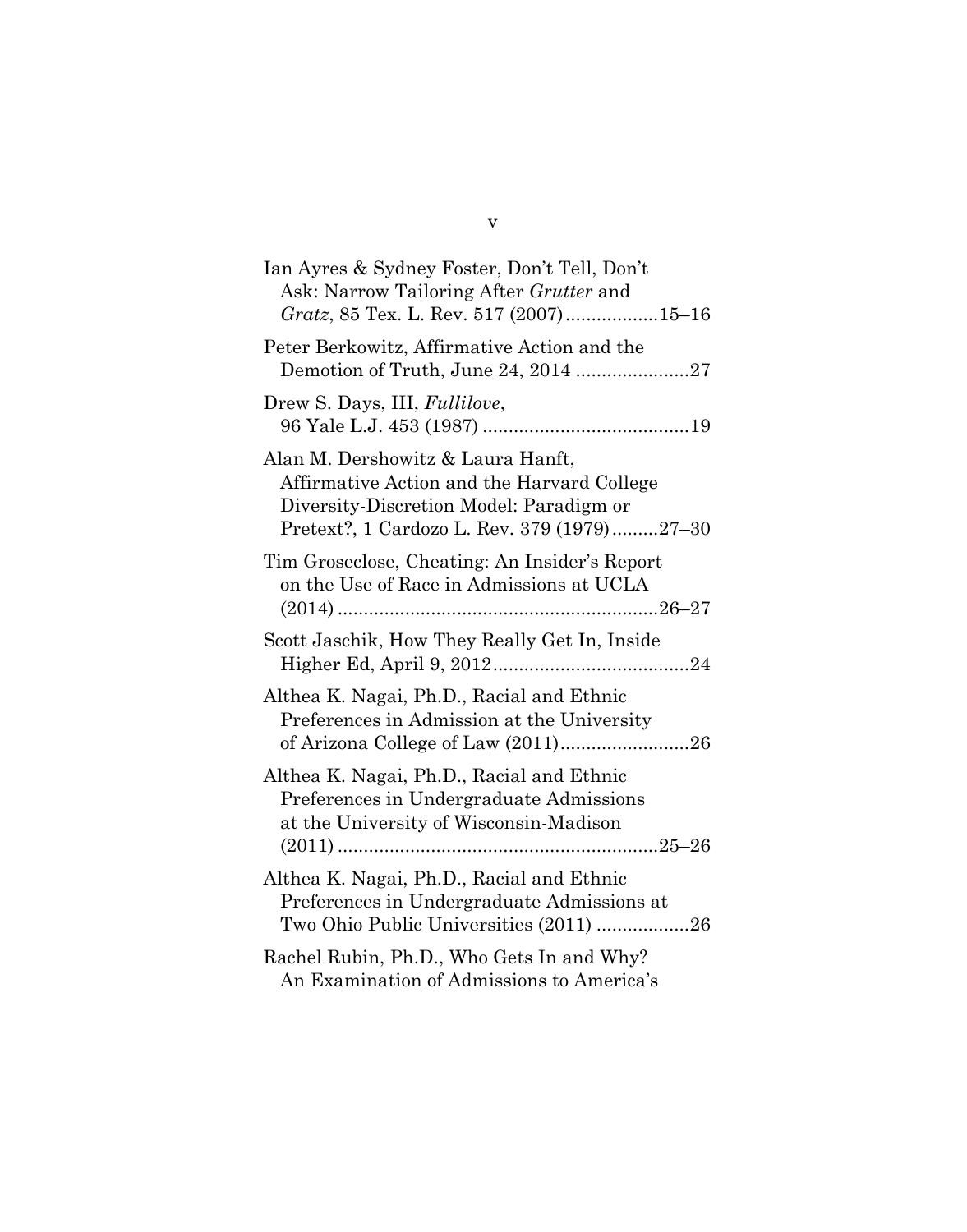| Ian Ayres & Sydney Foster, Don't Tell, Don't<br>Ask: Narrow Tailoring After Grutter and<br>Gratz, 85 Tex. L. Rev. 517 (2007)15-16                                         |
|---------------------------------------------------------------------------------------------------------------------------------------------------------------------------|
| Peter Berkowitz, Affirmative Action and the<br>Demotion of Truth, June 24, 2014 27                                                                                        |
| Drew S. Days, III, <i>Fullilove</i> ,                                                                                                                                     |
| Alan M. Dershowitz & Laura Hanft,<br>Affirmative Action and the Harvard College<br>Diversity-Discretion Model: Paradigm or<br>Pretext?, 1 Cardozo L. Rev. 379 (1979)27-30 |
| Tim Groseclose, Cheating: An Insider's Report<br>on the Use of Race in Admissions at UCLA                                                                                 |
| Scott Jaschik, How They Really Get In, Inside                                                                                                                             |
| Althea K. Nagai, Ph.D., Racial and Ethnic<br>Preferences in Admission at the University                                                                                   |
| Althea K. Nagai, Ph.D., Racial and Ethnic<br>Preferences in Undergraduate Admissions<br>at the University of Wisconsin-Madison                                            |
| Althea K. Nagai, Ph.D., Racial and Ethnic<br>Preferences in Undergraduate Admissions at<br>Two Ohio Public Universities (2011) 26                                         |
| Rachel Rubin, Ph.D., Who Gets In and Why?<br>An Examination of Admissions to America's                                                                                    |

#### v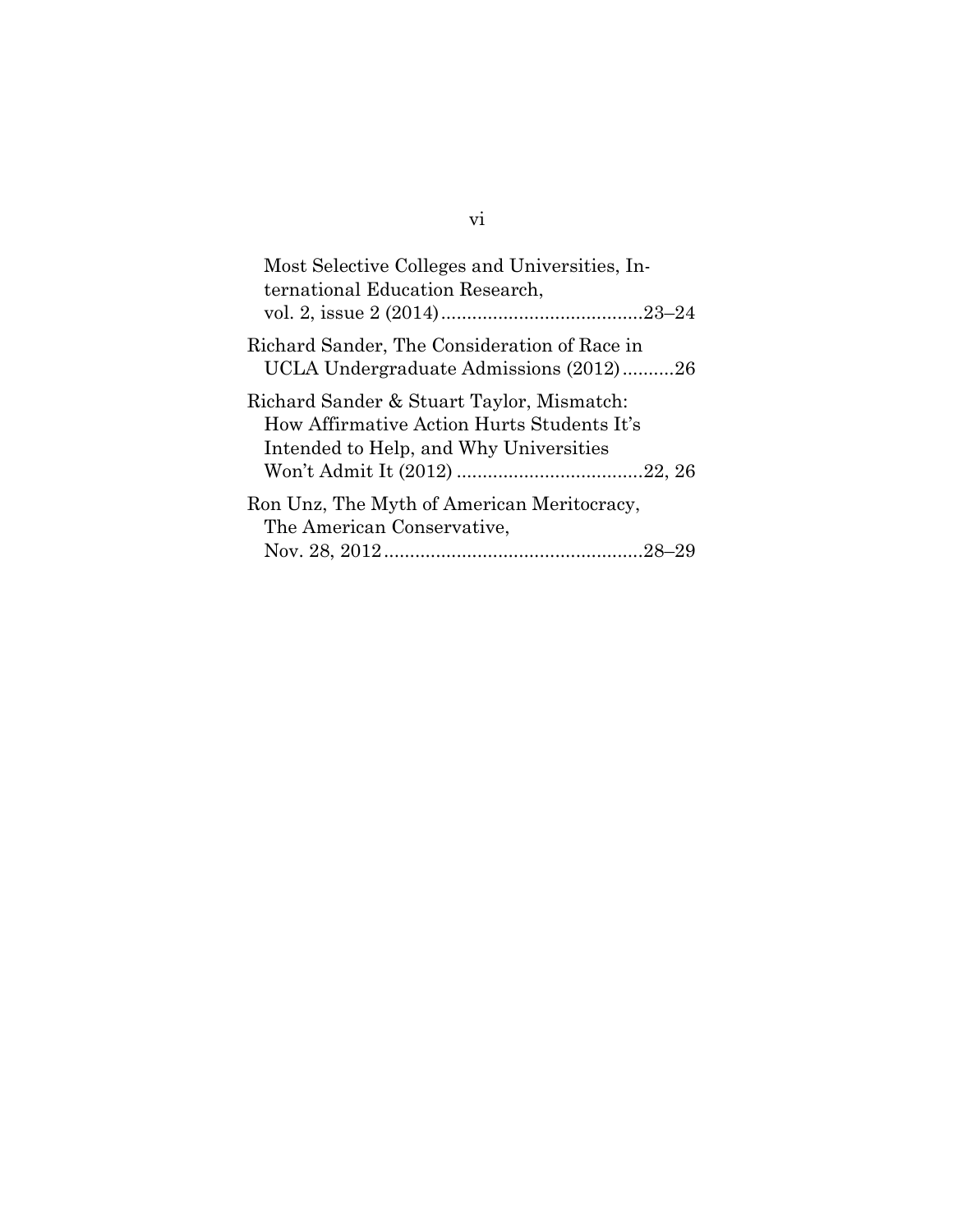| Most Selective Colleges and Universities, In-<br>ternational Education Research,                                                  |
|-----------------------------------------------------------------------------------------------------------------------------------|
| Richard Sander, The Consideration of Race in<br>UCLA Undergraduate Admissions (2012)26                                            |
| Richard Sander & Stuart Taylor, Mismatch:<br>How Affirmative Action Hurts Students It's<br>Intended to Help, and Why Universities |
| Ron Unz, The Myth of American Meritocracy,<br>The American Conservative,                                                          |
|                                                                                                                                   |

# vi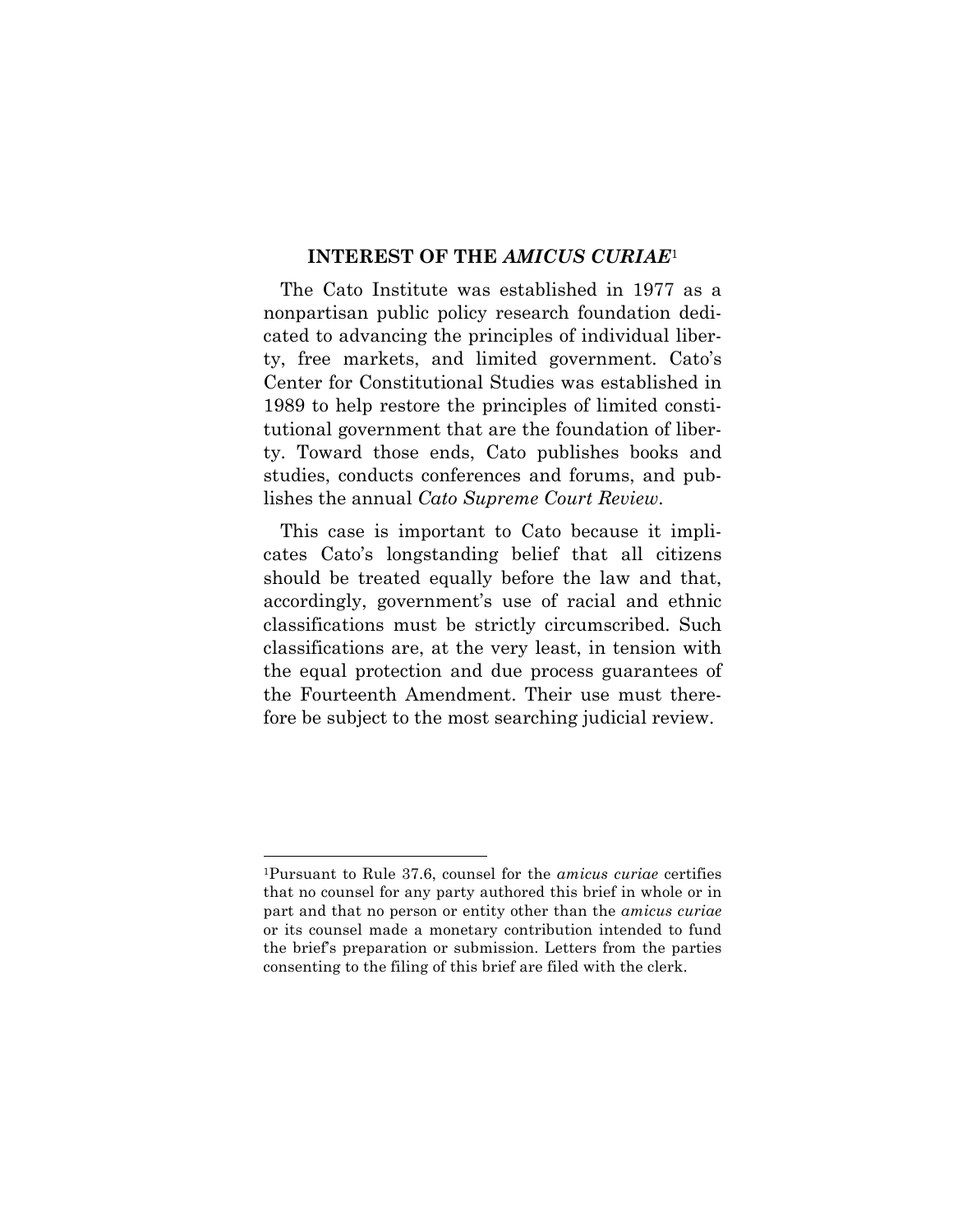#### **INTEREST OF THE** *AMICUS CURIAE*<sup>1</sup>

The Cato Institute was established in 1977 as a nonpartisan public policy research foundation dedicated to advancing the principles of individual liberty, free markets, and limited government. Cato's Center for Constitutional Studies was established in 1989 to help restore the principles of limited constitutional government that are the foundation of liberty. Toward those ends, Cato publishes books and studies, conducts conferences and forums, and publishes the annual *Cato Supreme Court Review*.

This case is important to Cato because it implicates Cato's longstanding belief that all citizens should be treated equally before the law and that, accordingly, government's use of racial and ethnic classifications must be strictly circumscribed. Such classifications are, at the very least, in tension with the equal protection and due process guarantees of the Fourteenth Amendment. Their use must therefore be subject to the most searching judicial review.

 <sup>1</sup>Pursuant to Rule 37.6, counsel for the *amicus curiae* certifies that no counsel for any party authored this brief in whole or in part and that no person or entity other than the *amicus curiae* or its counsel made a monetary contribution intended to fund the brief's preparation or submission. Letters from the parties consenting to the filing of this brief are filed with the clerk.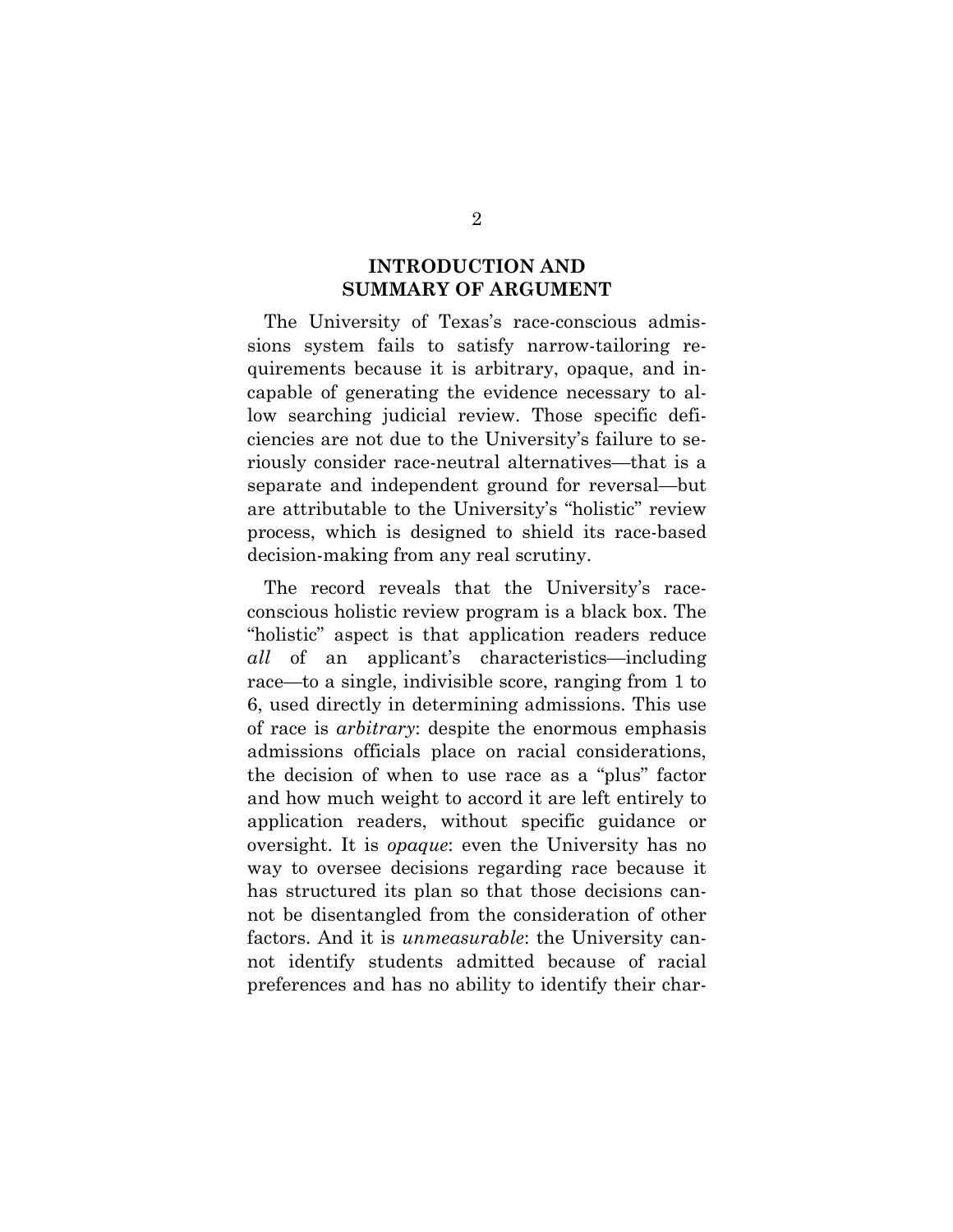## **INTRODUCTION AND SUMMARY OF ARGUMENT**

The University of Texas's race-conscious admissions system fails to satisfy narrow-tailoring requirements because it is arbitrary, opaque, and incapable of generating the evidence necessary to allow searching judicial review. Those specific deficiencies are not due to the University's failure to seriously consider race-neutral alternatives—that is a separate and independent ground for reversal—but are attributable to the University's "holistic" review process, which is designed to shield its race-based decision-making from any real scrutiny.

The record reveals that the University's raceconscious holistic review program is a black box. The "holistic" aspect is that application readers reduce *all* of an applicant's characteristics—including race—to a single, indivisible score, ranging from 1 to 6, used directly in determining admissions. This use of race is *arbitrary*: despite the enormous emphasis admissions officials place on racial considerations, the decision of when to use race as a "plus" factor and how much weight to accord it are left entirely to application readers, without specific guidance or oversight. It is *opaque*: even the University has no way to oversee decisions regarding race because it has structured its plan so that those decisions cannot be disentangled from the consideration of other factors. And it is *unmeasurable*: the University cannot identify students admitted because of racial preferences and has no ability to identify their char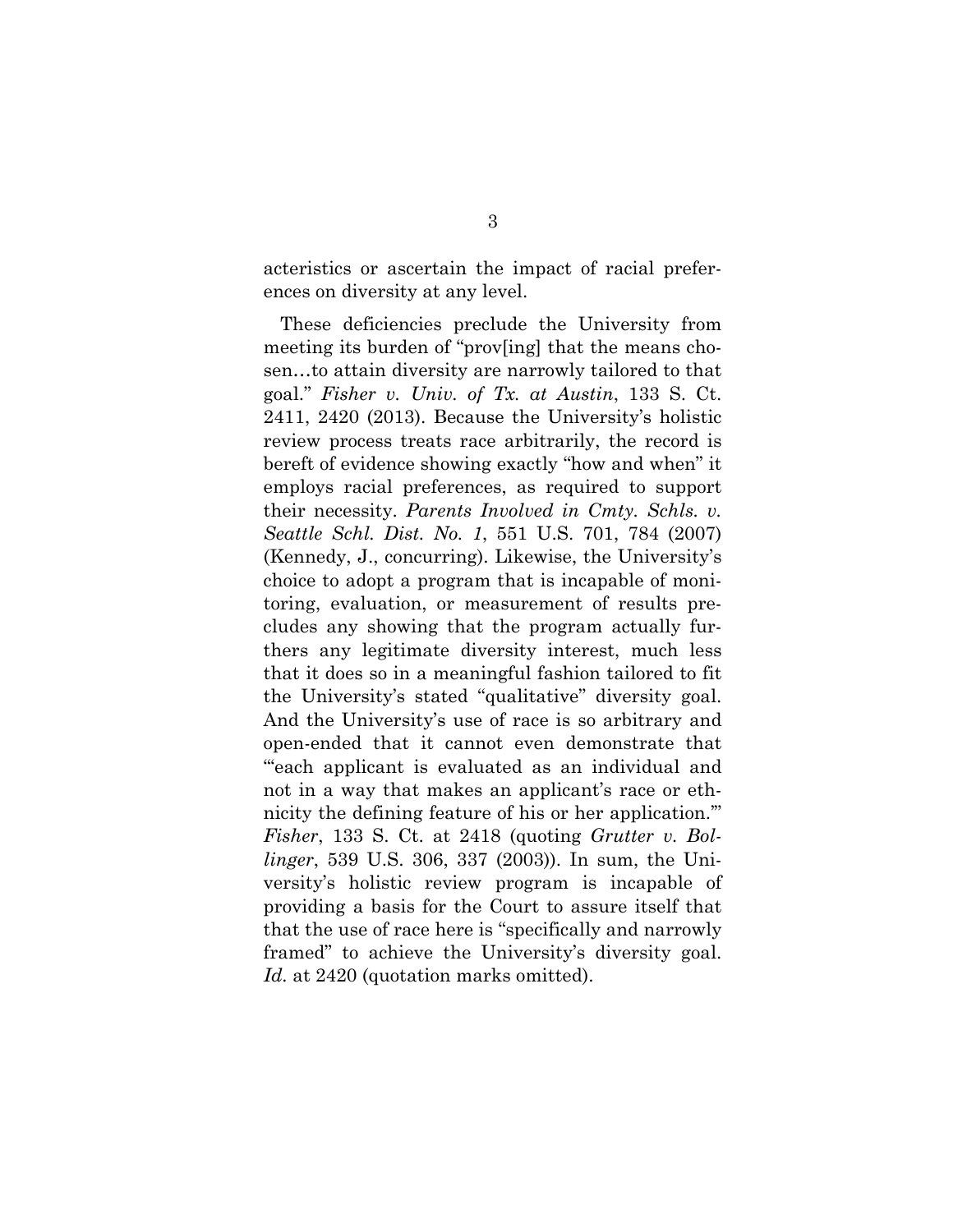acteristics or ascertain the impact of racial preferences on diversity at any level.

These deficiencies preclude the University from meeting its burden of "prov[ing] that the means chosen…to attain diversity are narrowly tailored to that goal." *Fisher v. Univ. of Tx. at Austin*, 133 S. Ct. 2411, 2420 (2013). Because the University's holistic review process treats race arbitrarily, the record is bereft of evidence showing exactly "how and when" it employs racial preferences, as required to support their necessity. *Parents Involved in Cmty. Schls. v. Seattle Schl. Dist. No. 1*, 551 U.S. 701, 784 (2007) (Kennedy, J., concurring). Likewise, the University's choice to adopt a program that is incapable of monitoring, evaluation, or measurement of results precludes any showing that the program actually furthers any legitimate diversity interest, much less that it does so in a meaningful fashion tailored to fit the University's stated "qualitative" diversity goal. And the University's use of race is so arbitrary and open-ended that it cannot even demonstrate that "'each applicant is evaluated as an individual and not in a way that makes an applicant's race or ethnicity the defining feature of his or her application.'" *Fisher*, 133 S. Ct. at 2418 (quoting *Grutter v. Bollinger*, 539 U.S. 306, 337 (2003)). In sum, the University's holistic review program is incapable of providing a basis for the Court to assure itself that that the use of race here is "specifically and narrowly framed" to achieve the University's diversity goal. *Id.* at 2420 (quotation marks omitted).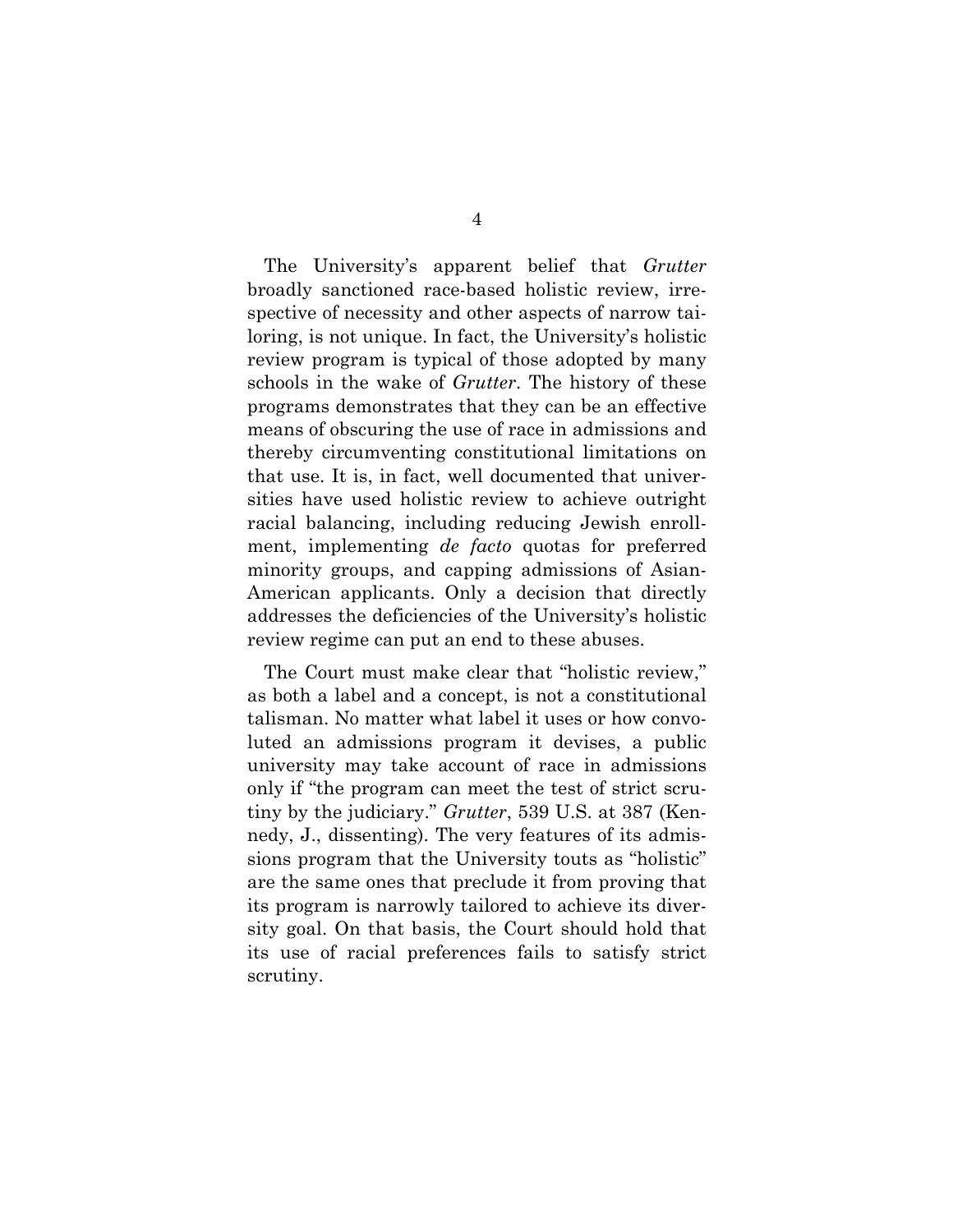The University's apparent belief that *Grutter*  broadly sanctioned race-based holistic review, irrespective of necessity and other aspects of narrow tailoring, is not unique. In fact, the University's holistic review program is typical of those adopted by many schools in the wake of *Grutter*. The history of these programs demonstrates that they can be an effective means of obscuring the use of race in admissions and thereby circumventing constitutional limitations on that use. It is, in fact, well documented that universities have used holistic review to achieve outright racial balancing, including reducing Jewish enrollment, implementing *de facto* quotas for preferred minority groups, and capping admissions of Asian-American applicants. Only a decision that directly addresses the deficiencies of the University's holistic review regime can put an end to these abuses.

The Court must make clear that "holistic review," as both a label and a concept, is not a constitutional talisman. No matter what label it uses or how convoluted an admissions program it devises, a public university may take account of race in admissions only if "the program can meet the test of strict scrutiny by the judiciary." *Grutter*, 539 U.S. at 387 (Kennedy, J., dissenting). The very features of its admissions program that the University touts as "holistic" are the same ones that preclude it from proving that its program is narrowly tailored to achieve its diversity goal. On that basis, the Court should hold that its use of racial preferences fails to satisfy strict scrutiny.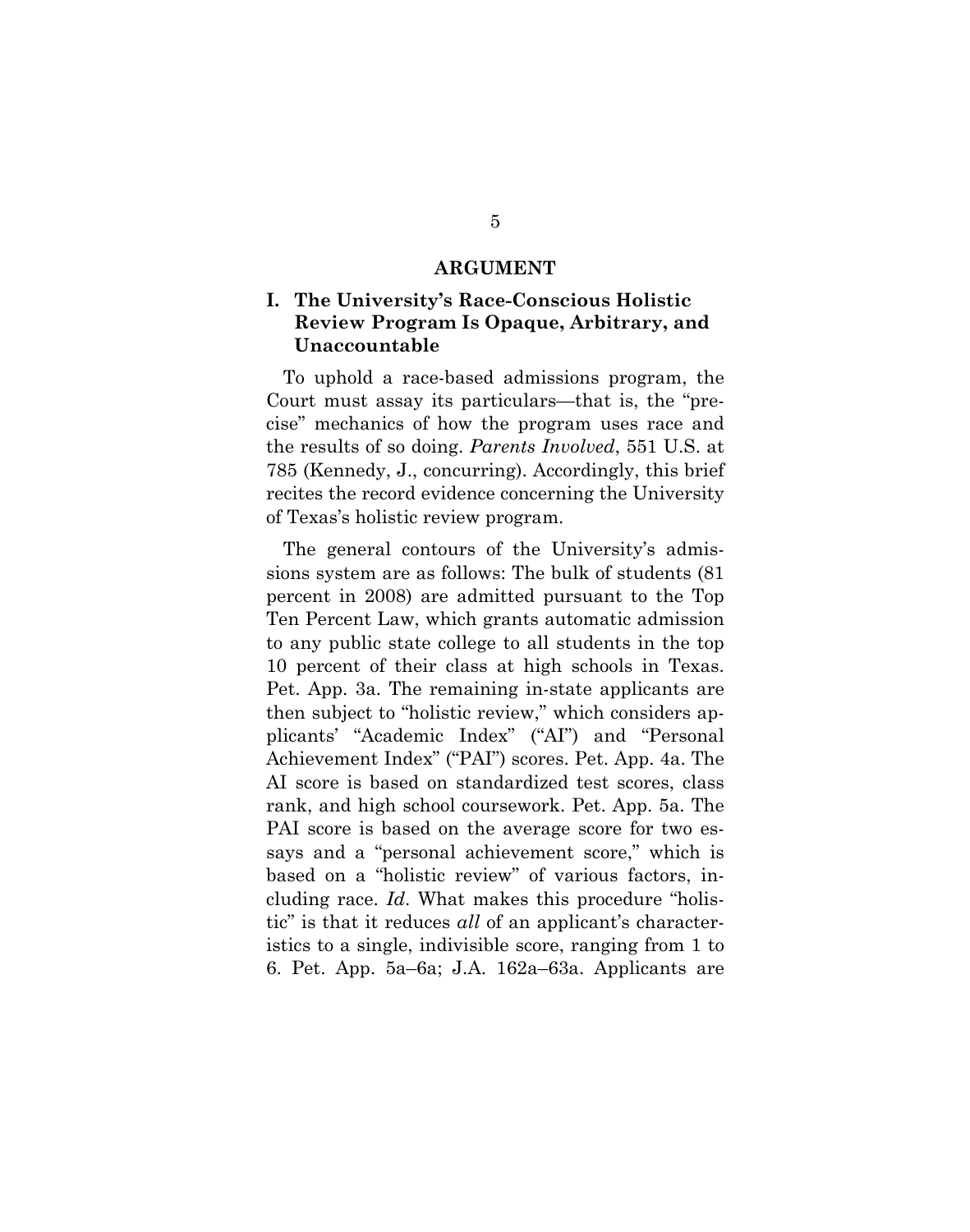#### **ARGUMENT**

## **I. The University's Race-Conscious Holistic Review Program Is Opaque, Arbitrary, and Unaccountable**

To uphold a race-based admissions program, the Court must assay its particulars—that is, the "precise" mechanics of how the program uses race and the results of so doing. *Parents Involved*, 551 U.S. at 785 (Kennedy, J., concurring). Accordingly, this brief recites the record evidence concerning the University of Texas's holistic review program.

The general contours of the University's admissions system are as follows: The bulk of students (81 percent in 2008) are admitted pursuant to the Top Ten Percent Law, which grants automatic admission to any public state college to all students in the top 10 percent of their class at high schools in Texas. Pet. App. 3a. The remaining in-state applicants are then subject to "holistic review," which considers applicants' "Academic Index" ("AI") and "Personal Achievement Index" ("PAI") scores. Pet. App. 4a. The AI score is based on standardized test scores, class rank, and high school coursework. Pet. App. 5a. The PAI score is based on the average score for two essays and a "personal achievement score," which is based on a "holistic review" of various factors, including race. *Id*. What makes this procedure "holistic" is that it reduces *all* of an applicant's characteristics to a single, indivisible score, ranging from 1 to 6. Pet. App. 5a–6a; J.A. 162a–63a. Applicants are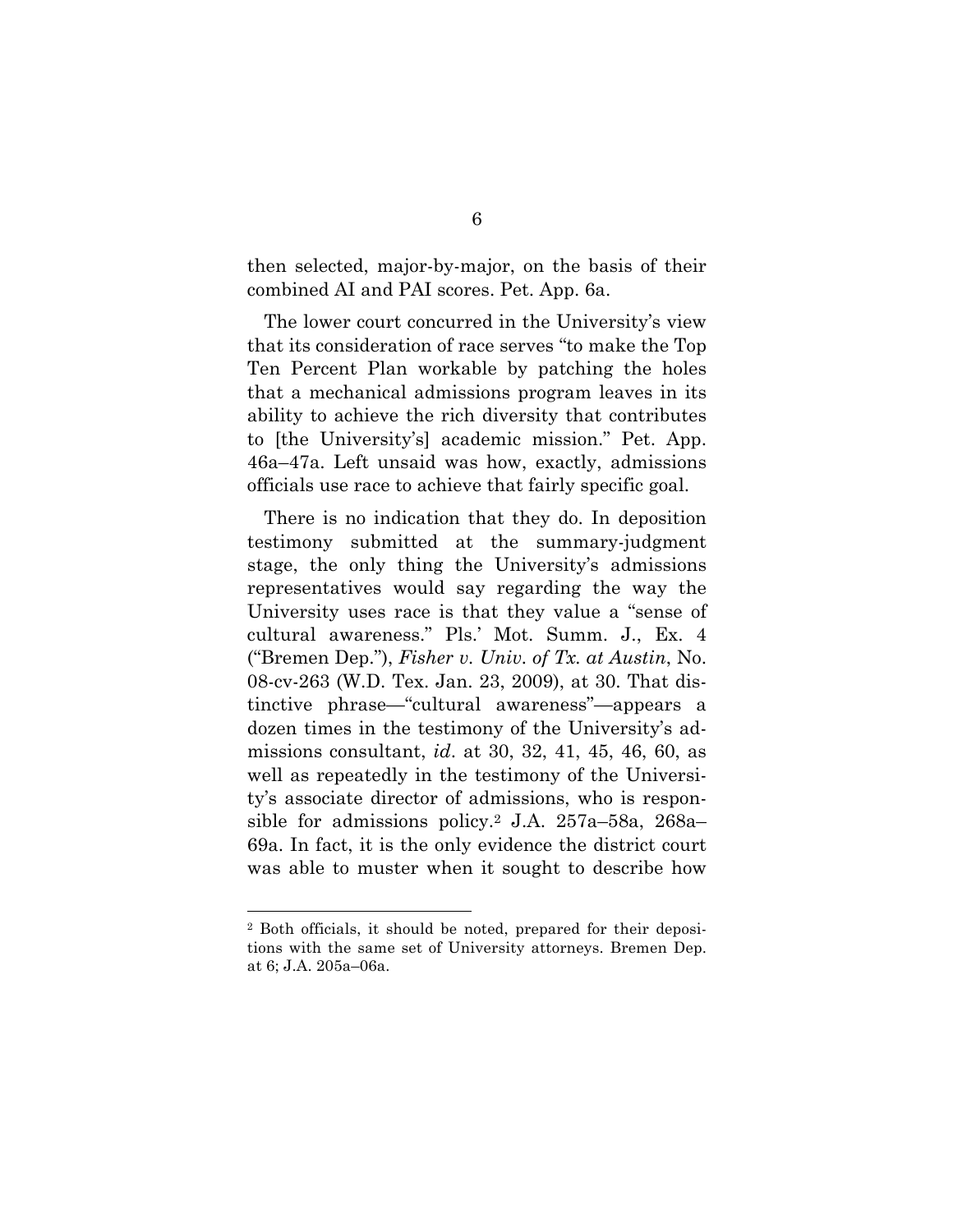then selected, major-by-major, on the basis of their combined AI and PAI scores. Pet. App. 6a.

The lower court concurred in the University's view that its consideration of race serves "to make the Top Ten Percent Plan workable by patching the holes that a mechanical admissions program leaves in its ability to achieve the rich diversity that contributes to [the University's] academic mission." Pet. App. 46a–47a. Left unsaid was how, exactly, admissions officials use race to achieve that fairly specific goal.

There is no indication that they do. In deposition testimony submitted at the summary-judgment stage, the only thing the University's admissions representatives would say regarding the way the University uses race is that they value a "sense of cultural awareness." Pls.' Mot. Summ. J., Ex. 4 ("Bremen Dep."), *Fisher v. Univ. of Tx. at Austin*, No. 08-cv-263 (W.D. Tex. Jan. 23, 2009), at 30. That distinctive phrase—"cultural awareness"—appears a dozen times in the testimony of the University's admissions consultant, *id*. at 30, 32, 41, 45, 46, 60, as well as repeatedly in the testimony of the University's associate director of admissions, who is responsible for admissions policy.2 J.A. 257a–58a, 268a– 69a. In fact, it is the only evidence the district court was able to muster when it sought to describe how

 <sup>2</sup> Both officials, it should be noted, prepared for their depositions with the same set of University attorneys. Bremen Dep. at 6; J.A. 205a–06a.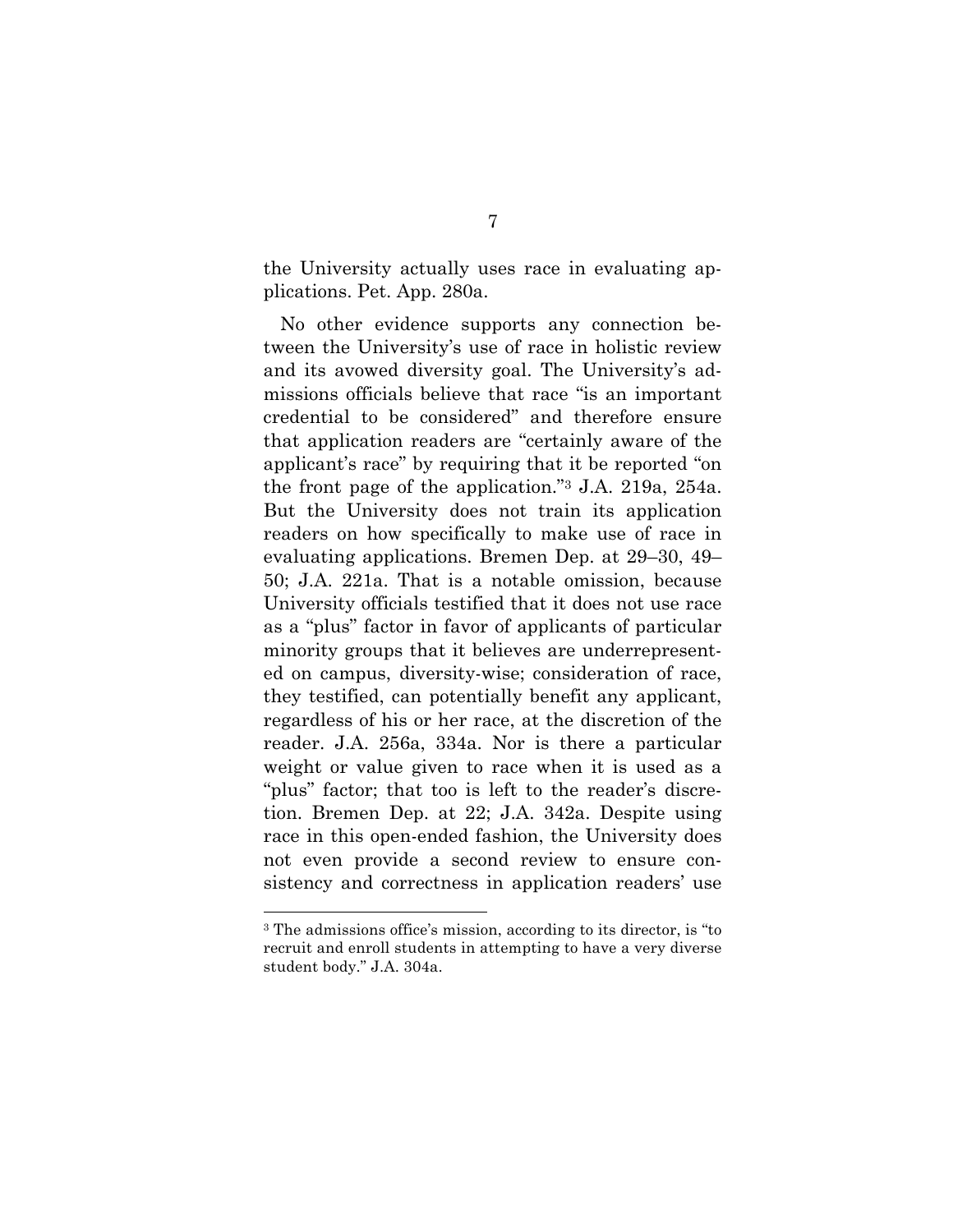the University actually uses race in evaluating applications. Pet. App. 280a.

No other evidence supports any connection between the University's use of race in holistic review and its avowed diversity goal. The University's admissions officials believe that race "is an important credential to be considered" and therefore ensure that application readers are "certainly aware of the applicant's race" by requiring that it be reported "on the front page of the application."3 J.A. 219a, 254a. But the University does not train its application readers on how specifically to make use of race in evaluating applications. Bremen Dep. at 29–30, 49– 50; J.A. 221a. That is a notable omission, because University officials testified that it does not use race as a "plus" factor in favor of applicants of particular minority groups that it believes are underrepresented on campus, diversity-wise; consideration of race, they testified, can potentially benefit any applicant, regardless of his or her race, at the discretion of the reader. J.A. 256a, 334a. Nor is there a particular weight or value given to race when it is used as a "plus" factor; that too is left to the reader's discretion. Bremen Dep. at 22; J.A. 342a. Despite using race in this open-ended fashion, the University does not even provide a second review to ensure consistency and correctness in application readers' use

 <sup>3</sup> The admissions office's mission, according to its director, is "to recruit and enroll students in attempting to have a very diverse student body." J.A. 304a.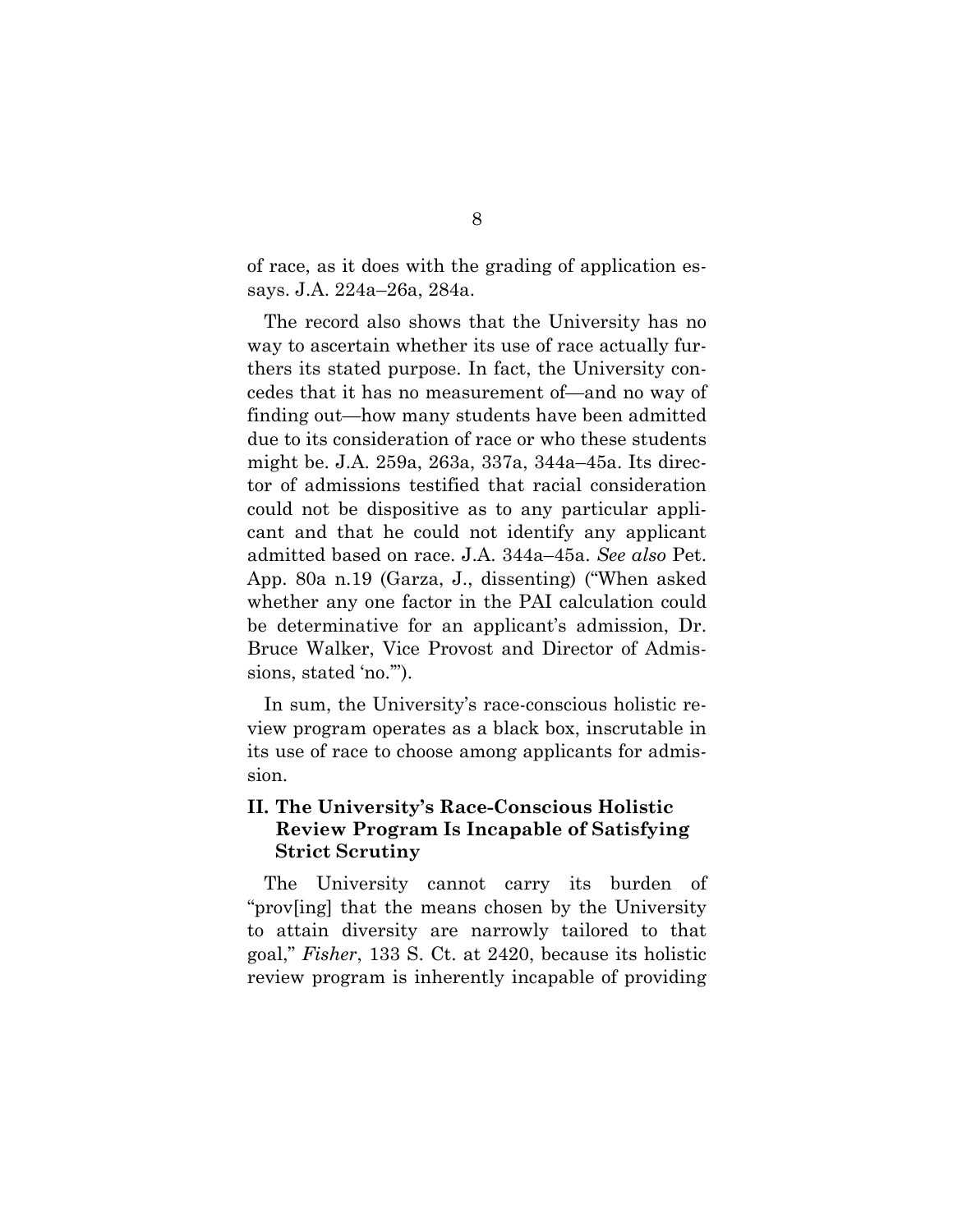of race, as it does with the grading of application essays. J.A. 224a–26a, 284a.

The record also shows that the University has no way to ascertain whether its use of race actually furthers its stated purpose. In fact, the University concedes that it has no measurement of—and no way of finding out—how many students have been admitted due to its consideration of race or who these students might be. J.A. 259a, 263a, 337a, 344a–45a. Its director of admissions testified that racial consideration could not be dispositive as to any particular applicant and that he could not identify any applicant admitted based on race. J.A. 344a–45a. *See also* Pet. App. 80a n.19 (Garza, J., dissenting) ("When asked whether any one factor in the PAI calculation could be determinative for an applicant's admission, Dr. Bruce Walker, Vice Provost and Director of Admissions, stated 'no.'").

In sum, the University's race-conscious holistic review program operates as a black box, inscrutable in its use of race to choose among applicants for admission.

## **II. The University's Race-Conscious Holistic Review Program Is Incapable of Satisfying Strict Scrutiny**

The University cannot carry its burden of "prov[ing] that the means chosen by the University to attain diversity are narrowly tailored to that goal," *Fisher*, 133 S. Ct. at 2420, because its holistic review program is inherently incapable of providing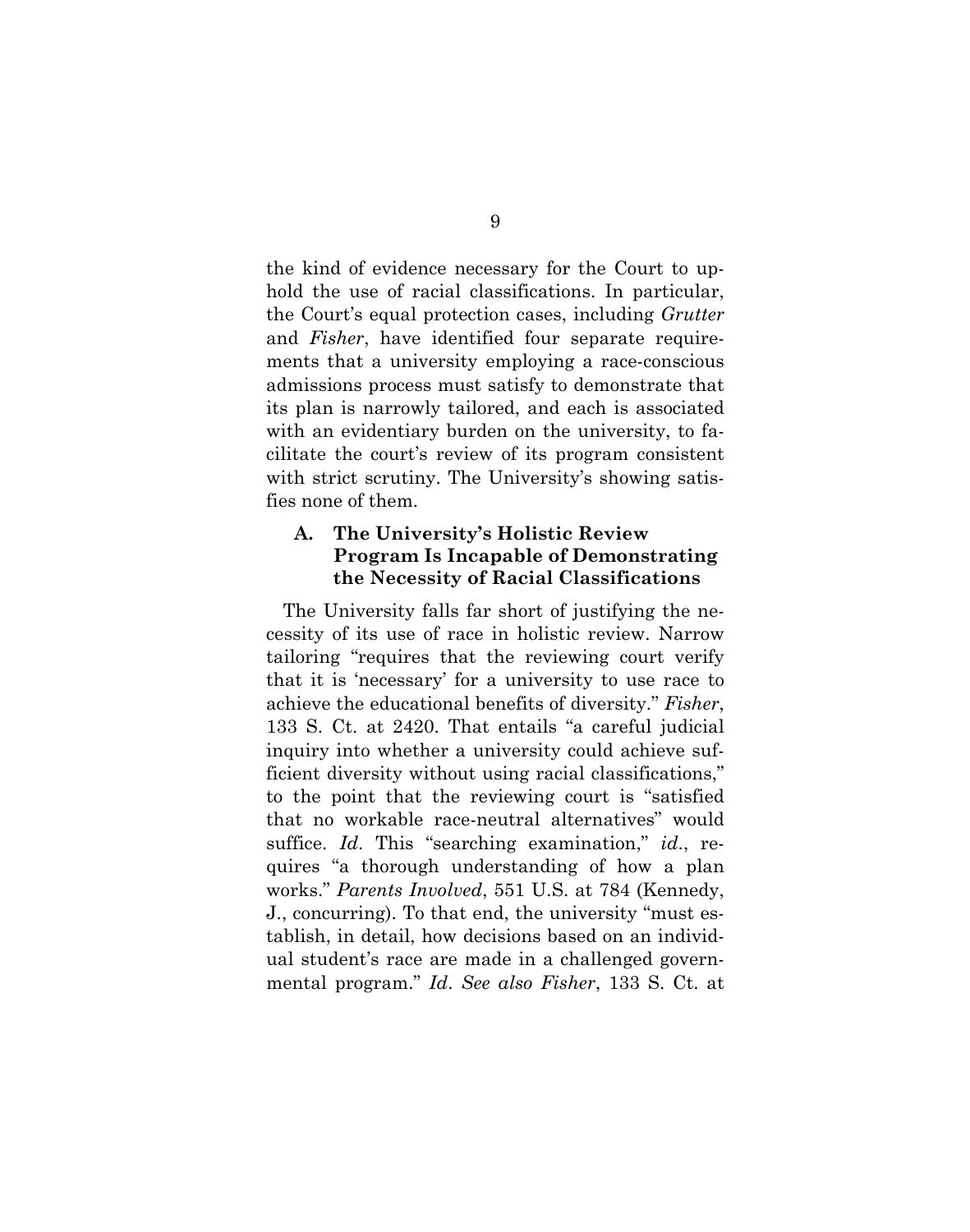the kind of evidence necessary for the Court to uphold the use of racial classifications. In particular, the Court's equal protection cases, including *Grutter* and *Fisher*, have identified four separate requirements that a university employing a race-conscious admissions process must satisfy to demonstrate that its plan is narrowly tailored, and each is associated with an evidentiary burden on the university, to facilitate the court's review of its program consistent with strict scrutiny. The University's showing satisfies none of them.

## **A. The University's Holistic Review Program Is Incapable of Demonstrating the Necessity of Racial Classifications**

The University falls far short of justifying the necessity of its use of race in holistic review. Narrow tailoring "requires that the reviewing court verify that it is 'necessary' for a university to use race to achieve the educational benefits of diversity." *Fisher*, 133 S. Ct. at 2420. That entails "a careful judicial inquiry into whether a university could achieve sufficient diversity without using racial classifications," to the point that the reviewing court is "satisfied that no workable race-neutral alternatives" would suffice. *Id*. This "searching examination," *id*., requires "a thorough understanding of how a plan works." *Parents Involved*, 551 U.S. at 784 (Kennedy, J., concurring). To that end, the university "must establish, in detail, how decisions based on an individual student's race are made in a challenged governmental program." *Id*. *See also Fisher*, 133 S. Ct. at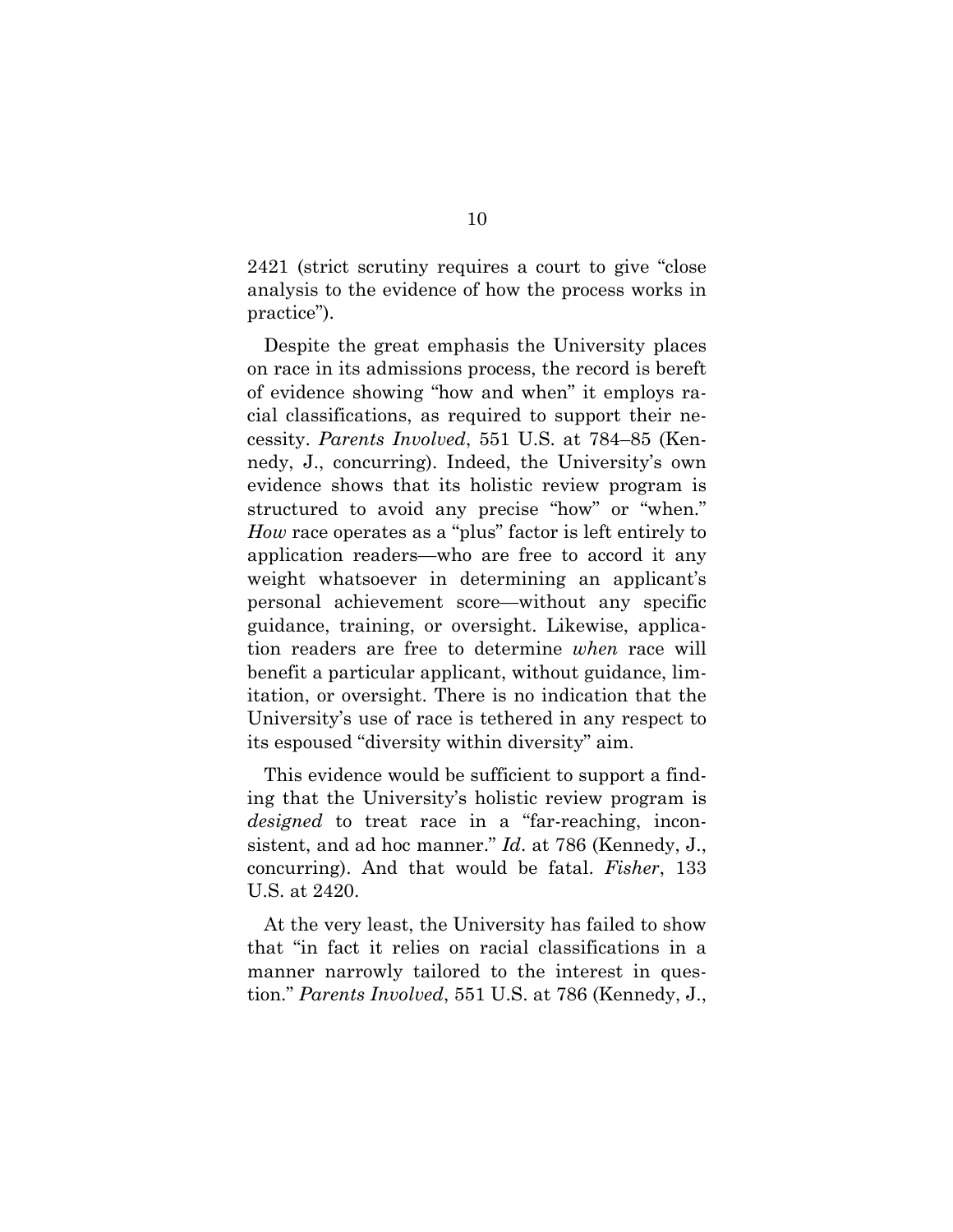2421 (strict scrutiny requires a court to give "close analysis to the evidence of how the process works in practice").

Despite the great emphasis the University places on race in its admissions process, the record is bereft of evidence showing "how and when" it employs racial classifications, as required to support their necessity. *Parents Involved*, 551 U.S. at 784–85 (Kennedy, J., concurring). Indeed, the University's own evidence shows that its holistic review program is structured to avoid any precise "how" or "when." *How* race operates as a "plus" factor is left entirely to application readers—who are free to accord it any weight whatsoever in determining an applicant's personal achievement score—without any specific guidance, training, or oversight. Likewise, application readers are free to determine *when* race will benefit a particular applicant, without guidance, limitation, or oversight. There is no indication that the University's use of race is tethered in any respect to its espoused "diversity within diversity" aim.

This evidence would be sufficient to support a finding that the University's holistic review program is *designed* to treat race in a "far-reaching, inconsistent, and ad hoc manner." *Id*. at 786 (Kennedy, J., concurring). And that would be fatal. *Fisher*, 133 U.S. at 2420.

At the very least, the University has failed to show that "in fact it relies on racial classifications in a manner narrowly tailored to the interest in question." *Parents Involved*, 551 U.S. at 786 (Kennedy, J.,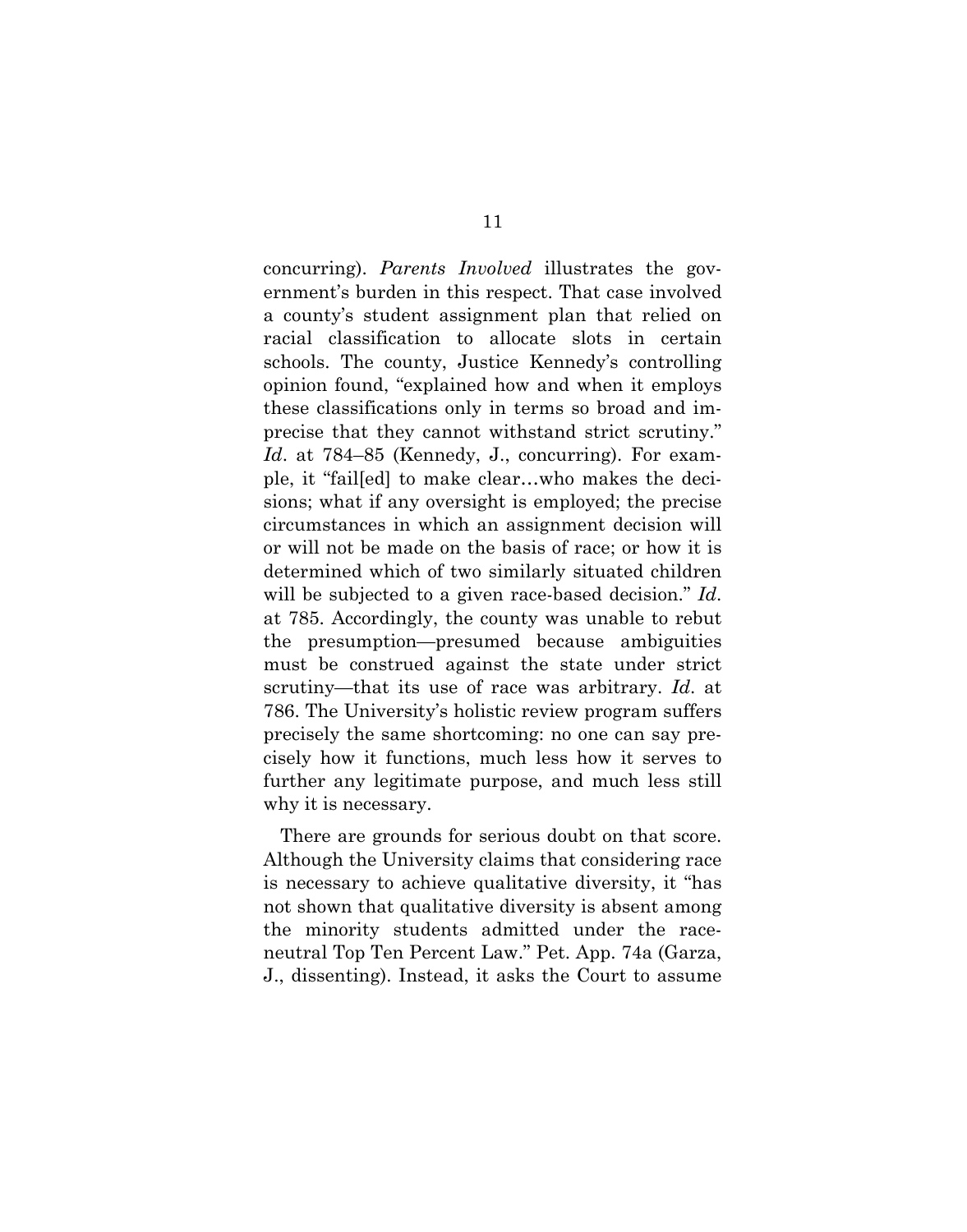concurring). *Parents Involved* illustrates the government's burden in this respect. That case involved a county's student assignment plan that relied on racial classification to allocate slots in certain schools. The county, Justice Kennedy's controlling opinion found, "explained how and when it employs these classifications only in terms so broad and imprecise that they cannot withstand strict scrutiny." *Id*. at 784–85 (Kennedy, J., concurring). For example, it "fail[ed] to make clear…who makes the decisions; what if any oversight is employed; the precise circumstances in which an assignment decision will or will not be made on the basis of race; or how it is determined which of two similarly situated children will be subjected to a given race-based decision." *Id*. at 785. Accordingly, the county was unable to rebut the presumption—presumed because ambiguities must be construed against the state under strict scrutiny—that its use of race was arbitrary. *Id*. at 786. The University's holistic review program suffers precisely the same shortcoming: no one can say precisely how it functions, much less how it serves to further any legitimate purpose, and much less still why it is necessary.

There are grounds for serious doubt on that score. Although the University claims that considering race is necessary to achieve qualitative diversity, it "has not shown that qualitative diversity is absent among the minority students admitted under the raceneutral Top Ten Percent Law." Pet. App. 74a (Garza, J., dissenting). Instead, it asks the Court to assume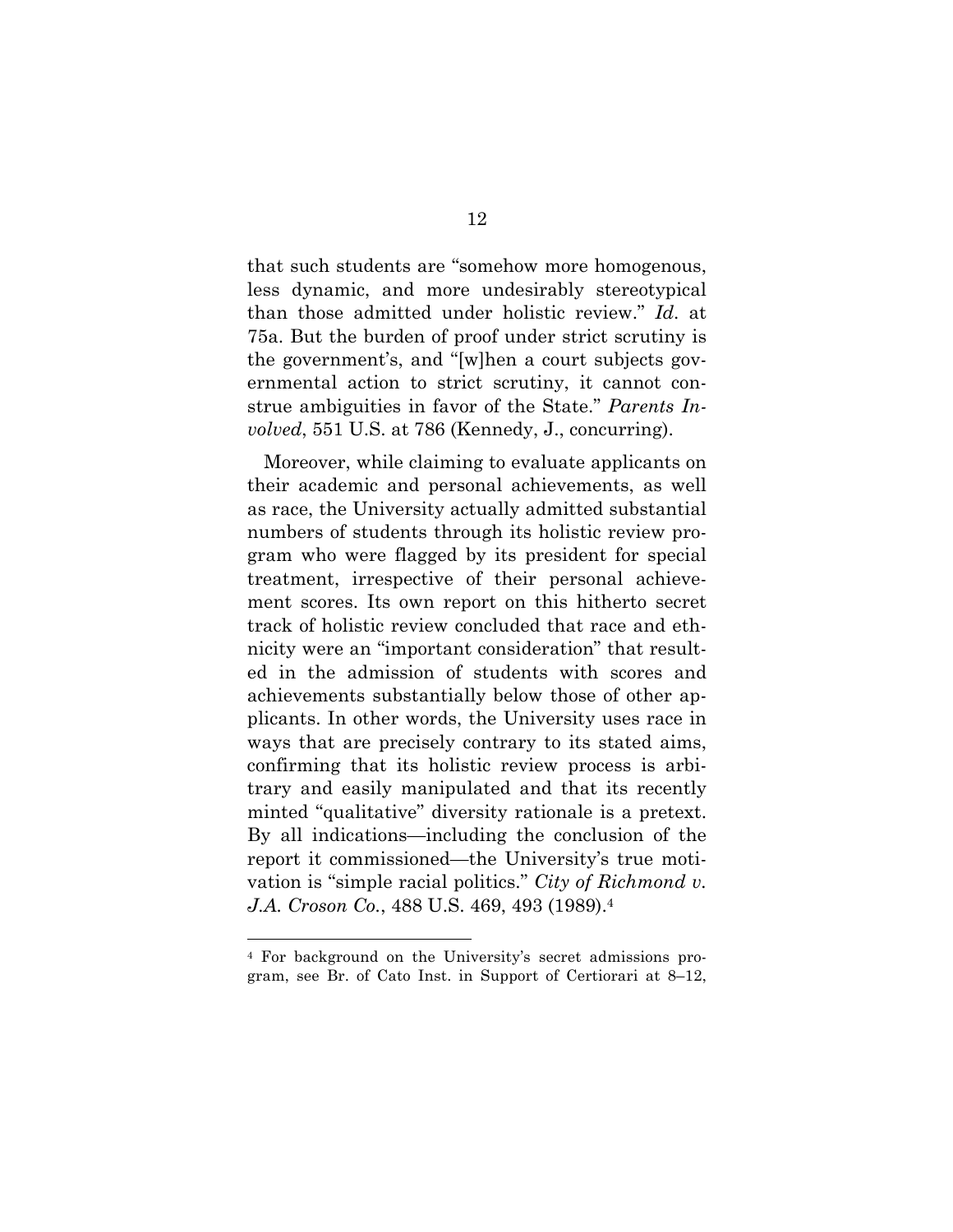that such students are "somehow more homogenous, less dynamic, and more undesirably stereotypical than those admitted under holistic review." *Id*. at 75a. But the burden of proof under strict scrutiny is the government's, and "[w]hen a court subjects governmental action to strict scrutiny, it cannot construe ambiguities in favor of the State." *Parents Involved*, 551 U.S. at 786 (Kennedy, J., concurring).

Moreover, while claiming to evaluate applicants on their academic and personal achievements, as well as race, the University actually admitted substantial numbers of students through its holistic review program who were flagged by its president for special treatment, irrespective of their personal achievement scores. Its own report on this hitherto secret track of holistic review concluded that race and ethnicity were an "important consideration" that resulted in the admission of students with scores and achievements substantially below those of other applicants. In other words, the University uses race in ways that are precisely contrary to its stated aims, confirming that its holistic review process is arbitrary and easily manipulated and that its recently minted "qualitative" diversity rationale is a pretext. By all indications—including the conclusion of the report it commissioned—the University's true motivation is "simple racial politics." *City of Richmond v. J.A. Croson Co.*, 488 U.S. 469, 493 (1989).4

 <sup>4</sup> For background on the University's secret admissions program, see Br. of Cato Inst. in Support of Certiorari at 8–12,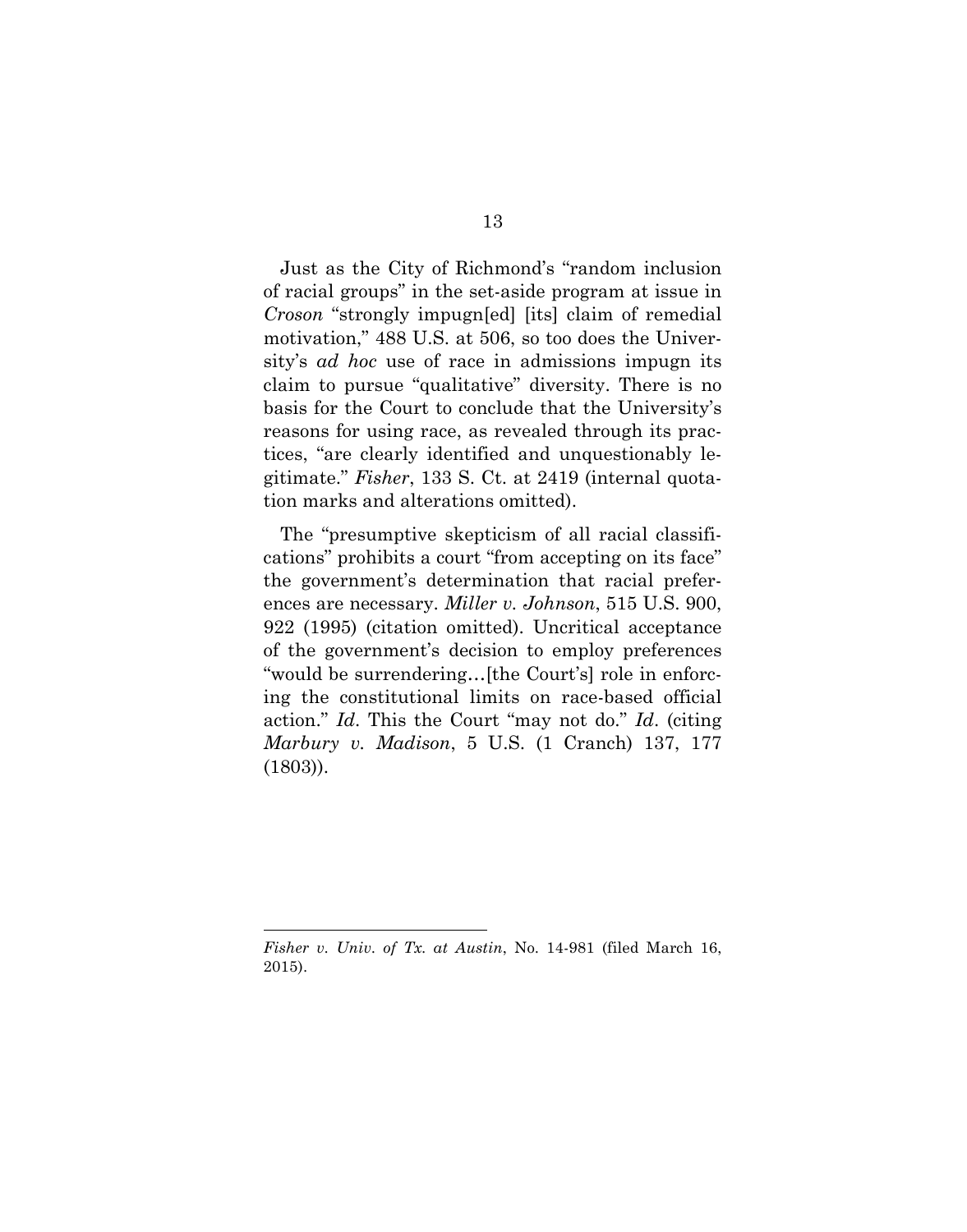Just as the City of Richmond's "random inclusion of racial groups" in the set-aside program at issue in *Croson* "strongly impugn[ed] [its] claim of remedial motivation," 488 U.S. at 506, so too does the University's *ad hoc* use of race in admissions impugn its claim to pursue "qualitative" diversity. There is no basis for the Court to conclude that the University's reasons for using race, as revealed through its practices, "are clearly identified and unquestionably legitimate." *Fisher*, 133 S. Ct. at 2419 (internal quotation marks and alterations omitted).

The "presumptive skepticism of all racial classifications" prohibits a court "from accepting on its face" the government's determination that racial preferences are necessary. *Miller v. Johnson*, 515 U.S. 900, 922 (1995) (citation omitted). Uncritical acceptance of the government's decision to employ preferences "would be surrendering…[the Court's] role in enforcing the constitutional limits on race-based official action." *Id*. This the Court "may not do." *Id*. (citing *Marbury v. Madison*, 5 U.S. (1 Cranch) 137, 177 (1803)).

1

*Fisher v. Univ. of Tx. at Austin*, No. 14-981 (filed March 16, 2015).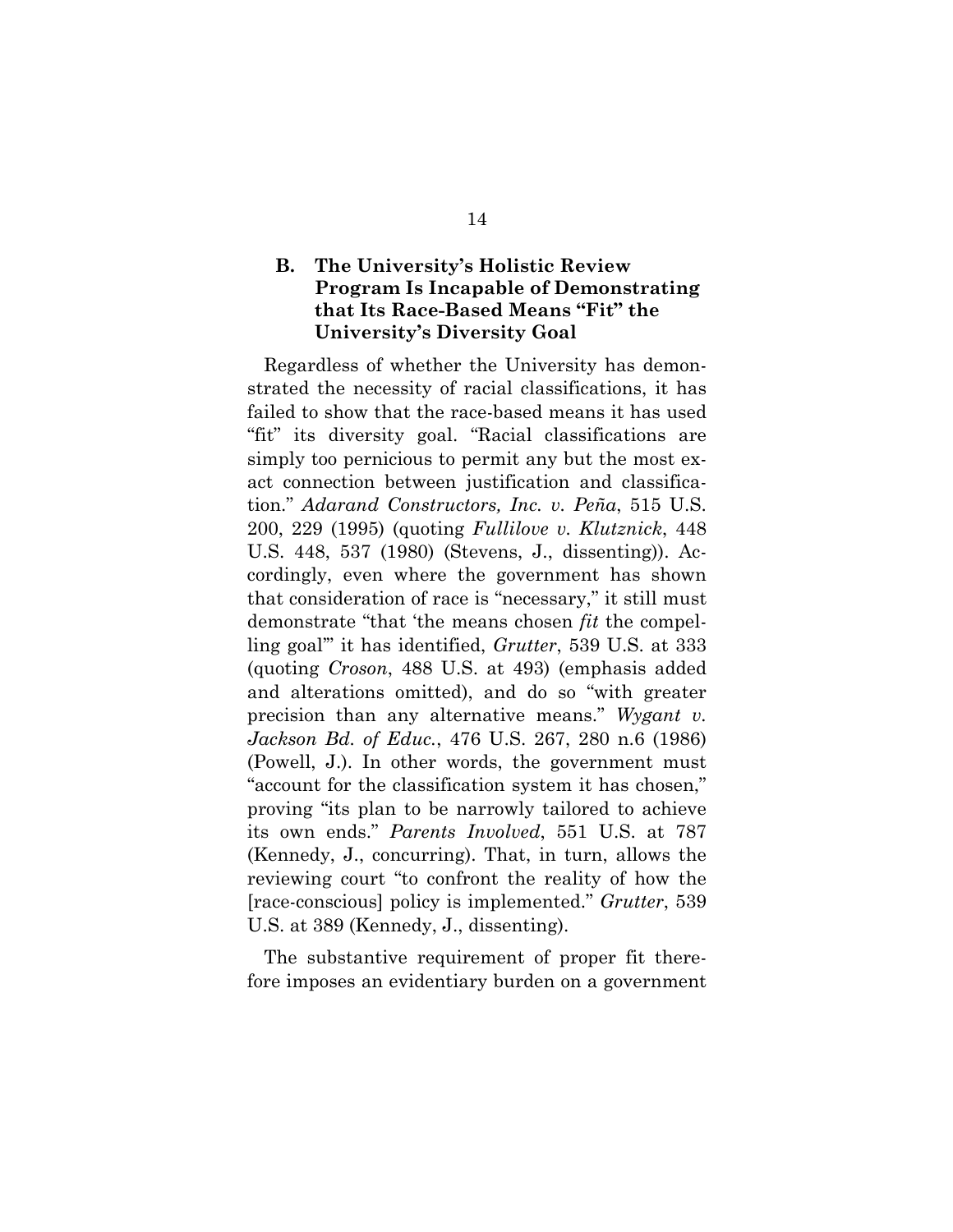## **B. The University's Holistic Review Program Is Incapable of Demonstrating that Its Race-Based Means "Fit" the University's Diversity Goal**

Regardless of whether the University has demonstrated the necessity of racial classifications, it has failed to show that the race-based means it has used "fit" its diversity goal. "Racial classifications are simply too pernicious to permit any but the most exact connection between justification and classification." *Adarand Constructors, Inc. v. Peña*, 515 U.S. 200, 229 (1995) (quoting *Fullilove v. Klutznick*, 448 U.S. 448, 537 (1980) (Stevens, J., dissenting)). Accordingly, even where the government has shown that consideration of race is "necessary," it still must demonstrate "that 'the means chosen *fit* the compelling goal'" it has identified, *Grutter*, 539 U.S. at 333 (quoting *Croson*, 488 U.S. at 493) (emphasis added and alterations omitted), and do so "with greater precision than any alternative means." *Wygant v. Jackson Bd. of Educ.*, 476 U.S. 267, 280 n.6 (1986) (Powell, J.). In other words, the government must "account for the classification system it has chosen," proving "its plan to be narrowly tailored to achieve its own ends." *Parents Involved*, 551 U.S. at 787 (Kennedy, J., concurring). That, in turn, allows the reviewing court "to confront the reality of how the [race-conscious] policy is implemented." *Grutter*, 539 U.S. at 389 (Kennedy, J., dissenting).

The substantive requirement of proper fit therefore imposes an evidentiary burden on a government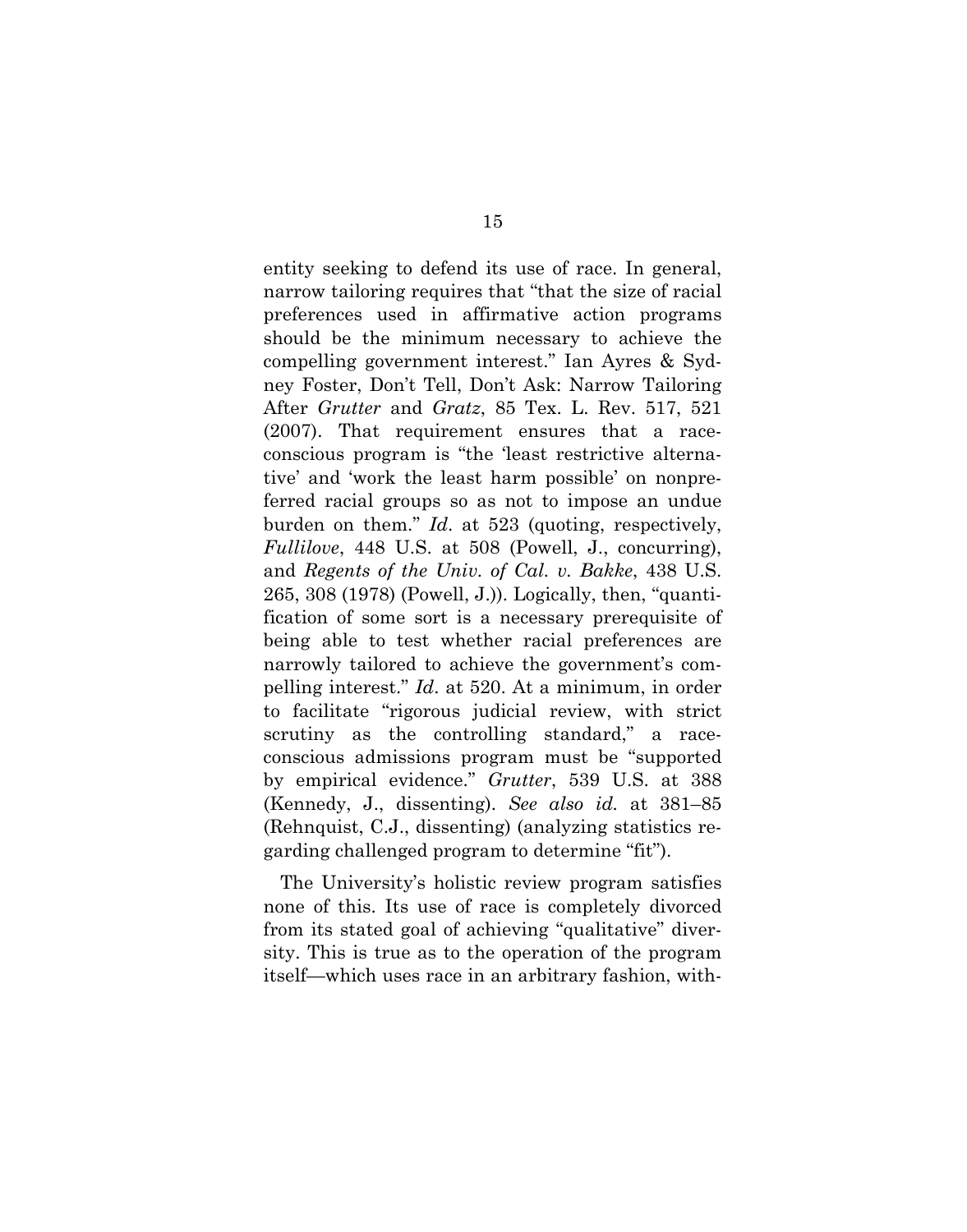entity seeking to defend its use of race. In general, narrow tailoring requires that "that the size of racial preferences used in affirmative action programs should be the minimum necessary to achieve the compelling government interest." Ian Ayres & Sydney Foster, Don't Tell, Don't Ask: Narrow Tailoring After *Grutter* and *Gratz*, 85 Tex. L. Rev. 517, 521 (2007). That requirement ensures that a raceconscious program is "the 'least restrictive alternative' and 'work the least harm possible' on nonpreferred racial groups so as not to impose an undue burden on them." *Id*. at 523 (quoting, respectively, *Fullilove*, 448 U.S. at 508 (Powell, J., concurring), and *Regents of the Univ. of Cal. v. Bakke*, 438 U.S. 265, 308 (1978) (Powell, J.)). Logically, then, "quantification of some sort is a necessary prerequisite of being able to test whether racial preferences are narrowly tailored to achieve the government's compelling interest." *Id*. at 520. At a minimum, in order to facilitate "rigorous judicial review, with strict scrutiny as the controlling standard," a raceconscious admissions program must be "supported by empirical evidence." *Grutter*, 539 U.S. at 388 (Kennedy, J., dissenting). *See also id.* at 381–85 (Rehnquist, C.J., dissenting) (analyzing statistics regarding challenged program to determine "fit").

The University's holistic review program satisfies none of this. Its use of race is completely divorced from its stated goal of achieving "qualitative" diversity. This is true as to the operation of the program itself—which uses race in an arbitrary fashion, with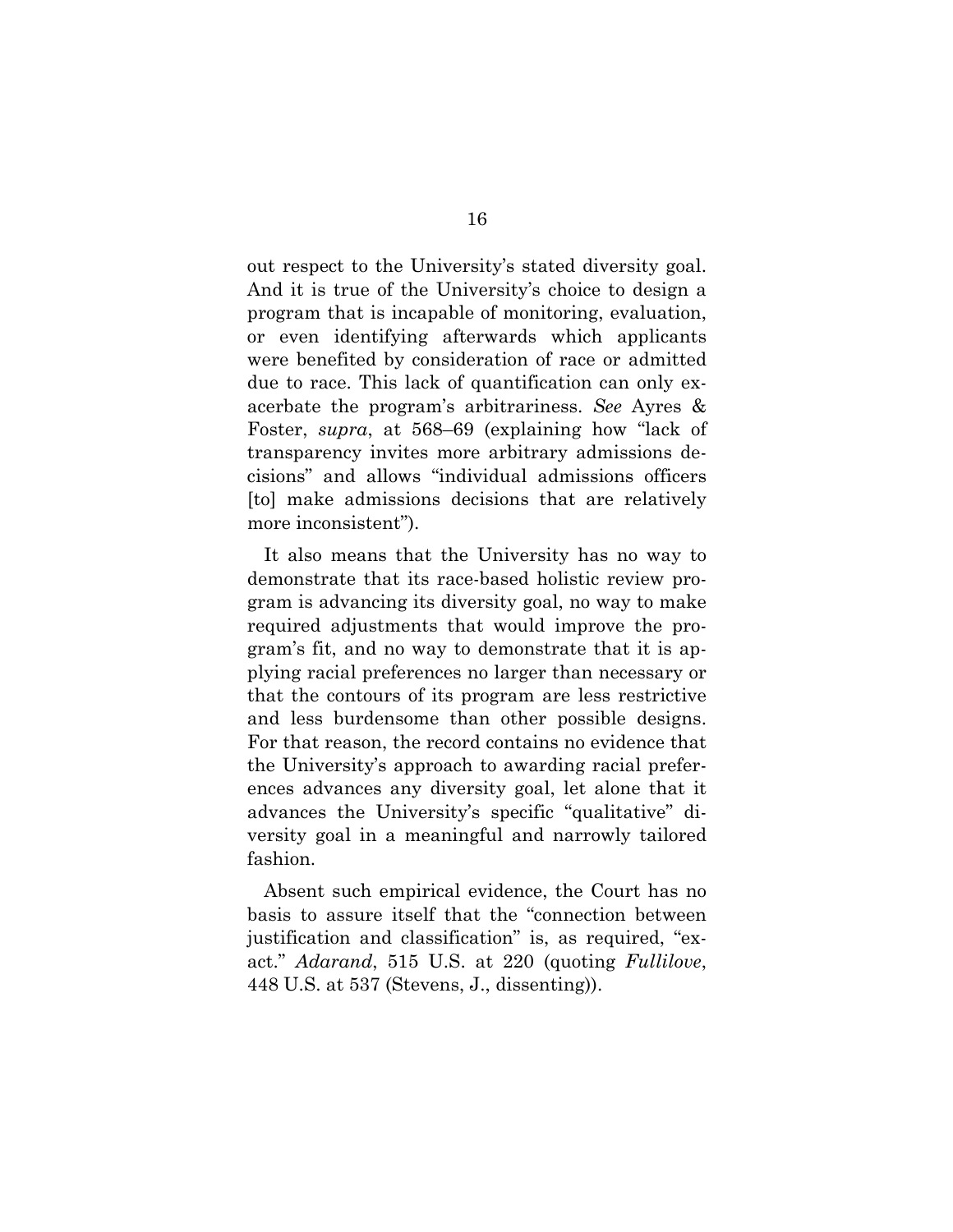out respect to the University's stated diversity goal. And it is true of the University's choice to design a program that is incapable of monitoring, evaluation, or even identifying afterwards which applicants were benefited by consideration of race or admitted due to race. This lack of quantification can only exacerbate the program's arbitrariness. *See* Ayres & Foster, *supra*, at 568–69 (explaining how "lack of transparency invites more arbitrary admissions decisions" and allows "individual admissions officers [to] make admissions decisions that are relatively more inconsistent").

It also means that the University has no way to demonstrate that its race-based holistic review program is advancing its diversity goal, no way to make required adjustments that would improve the program's fit, and no way to demonstrate that it is applying racial preferences no larger than necessary or that the contours of its program are less restrictive and less burdensome than other possible designs. For that reason, the record contains no evidence that the University's approach to awarding racial preferences advances any diversity goal, let alone that it advances the University's specific "qualitative" diversity goal in a meaningful and narrowly tailored fashion.

Absent such empirical evidence, the Court has no basis to assure itself that the "connection between justification and classification" is, as required, "exact." *Adarand*, 515 U.S. at 220 (quoting *Fullilove*, 448 U.S. at 537 (Stevens, J., dissenting)).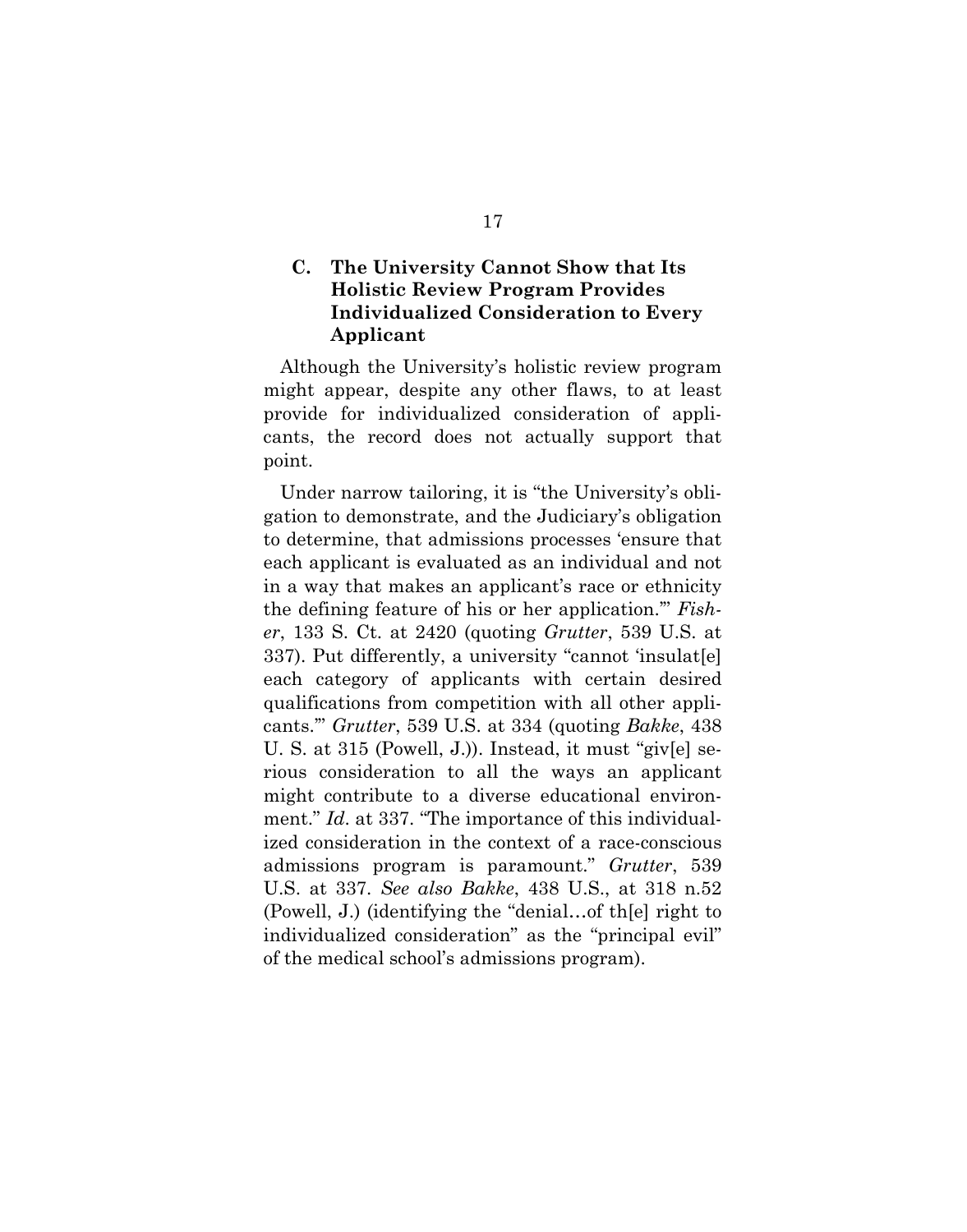## **C. The University Cannot Show that Its Holistic Review Program Provides Individualized Consideration to Every Applicant**

Although the University's holistic review program might appear, despite any other flaws, to at least provide for individualized consideration of applicants, the record does not actually support that point.

Under narrow tailoring, it is "the University's obligation to demonstrate, and the Judiciary's obligation to determine, that admissions processes 'ensure that each applicant is evaluated as an individual and not in a way that makes an applicant's race or ethnicity the defining feature of his or her application.'" *Fisher*, 133 S. Ct. at 2420 (quoting *Grutter*, 539 U.S. at 337). Put differently, a university "cannot 'insulat[e] each category of applicants with certain desired qualifications from competition with all other applicants.'" *Grutter*, 539 U.S. at 334 (quoting *Bakke*, 438 U. S. at 315 (Powell, J.)). Instead, it must "giv[e] serious consideration to all the ways an applicant might contribute to a diverse educational environment." *Id*. at 337. "The importance of this individualized consideration in the context of a race-conscious admissions program is paramount." *Grutter*, 539 U.S. at 337. *See also Bakke*, 438 U.S., at 318 n.52 (Powell, J.) (identifying the "denial…of th[e] right to individualized consideration" as the "principal evil" of the medical school's admissions program).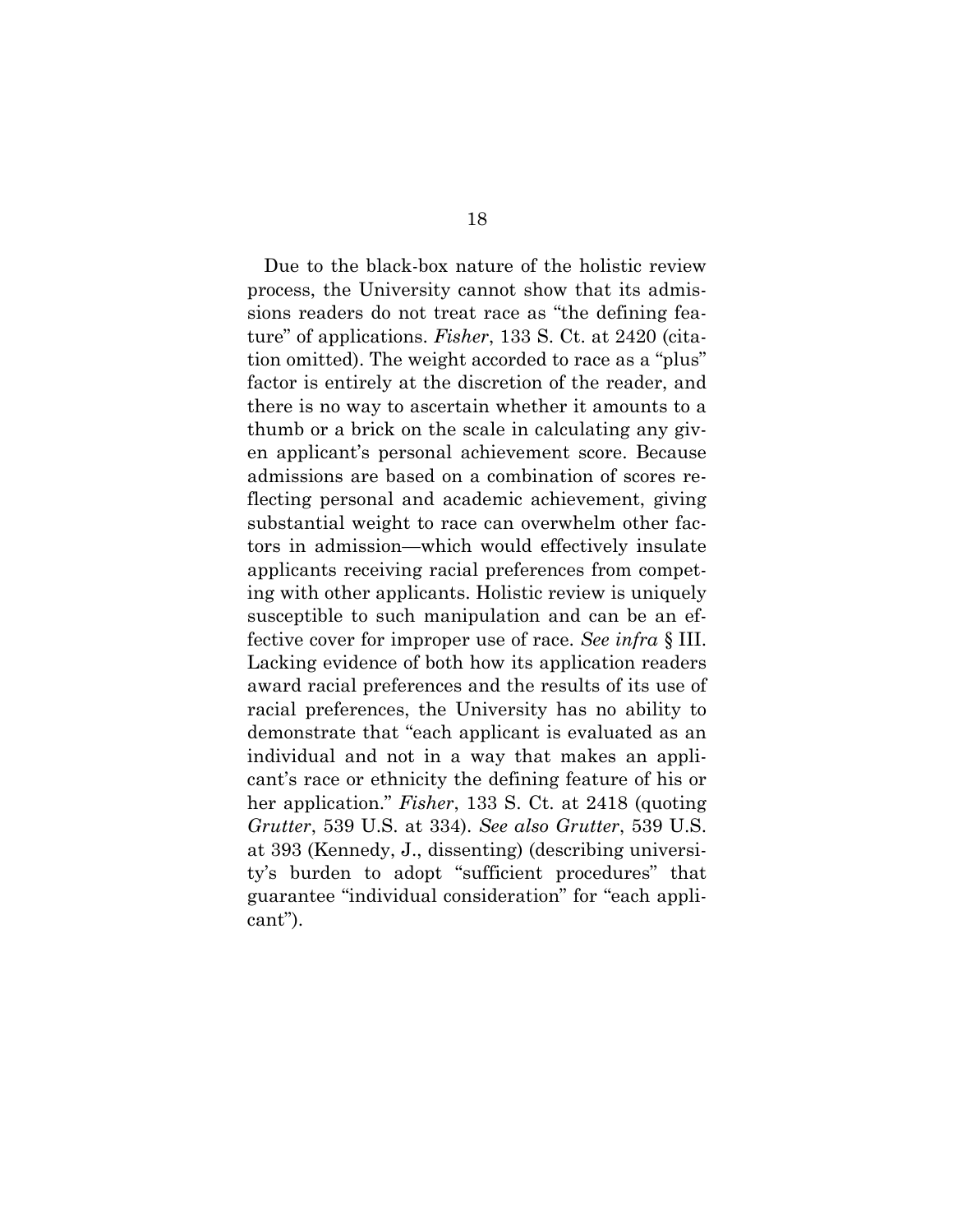Due to the black-box nature of the holistic review process, the University cannot show that its admissions readers do not treat race as "the defining feature" of applications. *Fisher*, 133 S. Ct. at 2420 (citation omitted). The weight accorded to race as a "plus" factor is entirely at the discretion of the reader, and there is no way to ascertain whether it amounts to a thumb or a brick on the scale in calculating any given applicant's personal achievement score. Because admissions are based on a combination of scores reflecting personal and academic achievement, giving substantial weight to race can overwhelm other factors in admission—which would effectively insulate applicants receiving racial preferences from competing with other applicants. Holistic review is uniquely susceptible to such manipulation and can be an effective cover for improper use of race. *See infra* § III. Lacking evidence of both how its application readers award racial preferences and the results of its use of racial preferences, the University has no ability to demonstrate that "each applicant is evaluated as an individual and not in a way that makes an applicant's race or ethnicity the defining feature of his or her application." *Fisher*, 133 S. Ct. at 2418 (quoting *Grutter*, 539 U.S. at 334). *See also Grutter*, 539 U.S. at 393 (Kennedy, J., dissenting) (describing university's burden to adopt "sufficient procedures" that guarantee "individual consideration" for "each applicant").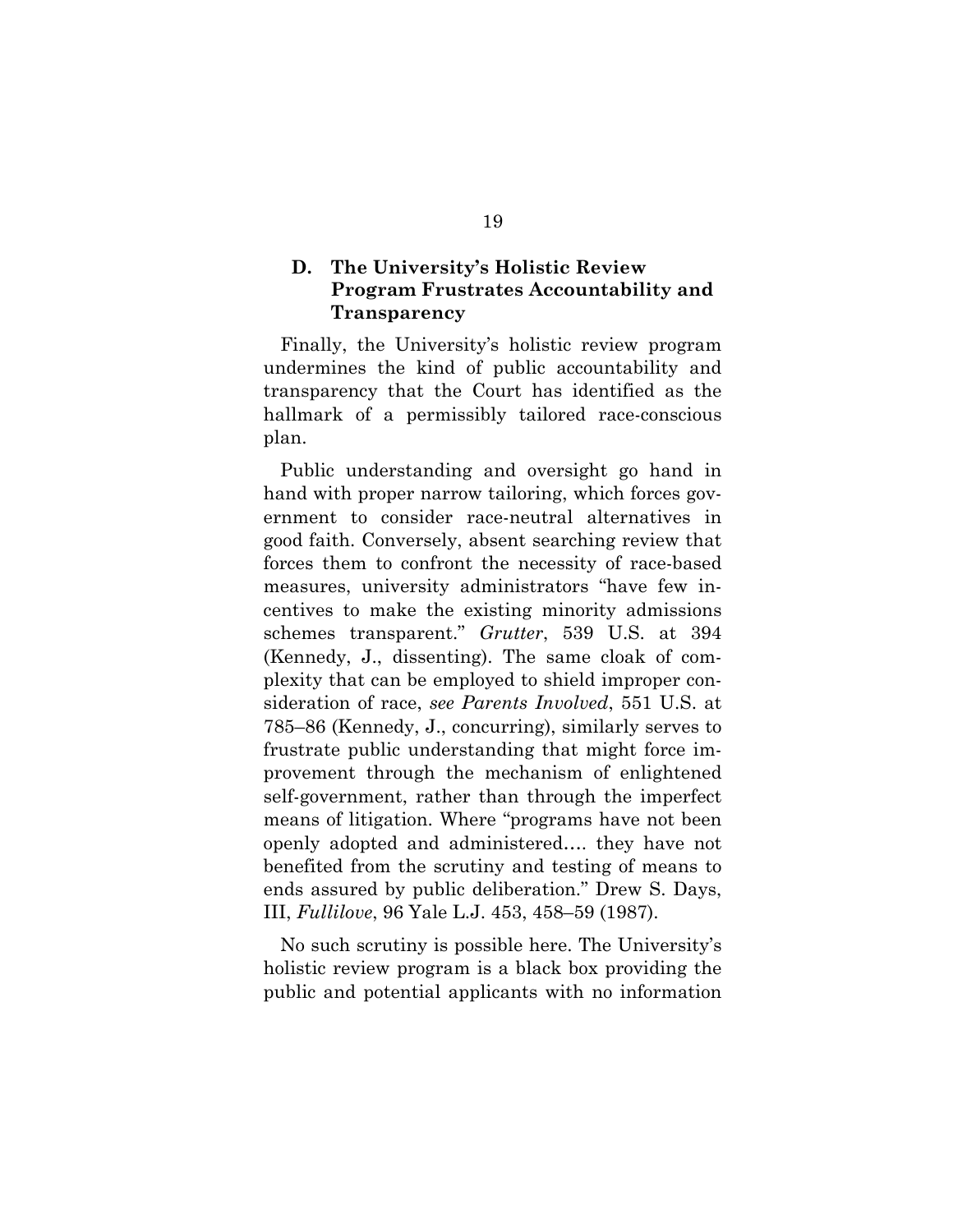## **D. The University's Holistic Review Program Frustrates Accountability and Transparency**

Finally, the University's holistic review program undermines the kind of public accountability and transparency that the Court has identified as the hallmark of a permissibly tailored race-conscious plan.

Public understanding and oversight go hand in hand with proper narrow tailoring, which forces government to consider race-neutral alternatives in good faith. Conversely, absent searching review that forces them to confront the necessity of race-based measures, university administrators "have few incentives to make the existing minority admissions schemes transparent." *Grutter*, 539 U.S. at 394 (Kennedy, J., dissenting). The same cloak of complexity that can be employed to shield improper consideration of race, *see Parents Involved*, 551 U.S. at 785–86 (Kennedy, J., concurring), similarly serves to frustrate public understanding that might force improvement through the mechanism of enlightened self-government, rather than through the imperfect means of litigation. Where "programs have not been openly adopted and administered…. they have not benefited from the scrutiny and testing of means to ends assured by public deliberation." Drew S. Days, III, *Fullilove*, 96 Yale L.J. 453, 458–59 (1987).

No such scrutiny is possible here. The University's holistic review program is a black box providing the public and potential applicants with no information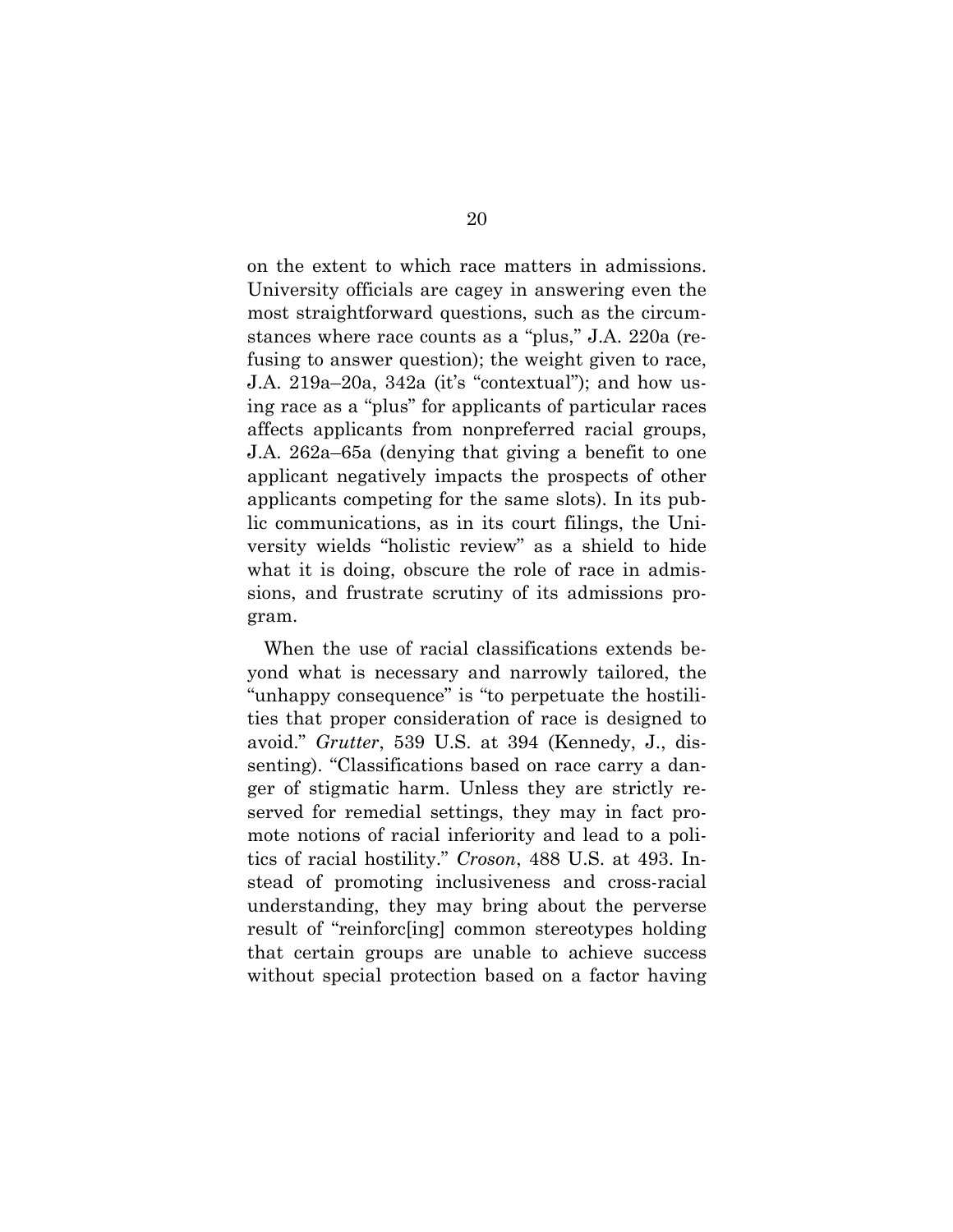on the extent to which race matters in admissions. University officials are cagey in answering even the most straightforward questions, such as the circumstances where race counts as a "plus," J.A. 220a (refusing to answer question); the weight given to race, J.A. 219a–20a, 342a (it's "contextual"); and how using race as a "plus" for applicants of particular races affects applicants from nonpreferred racial groups, J.A. 262a–65a (denying that giving a benefit to one applicant negatively impacts the prospects of other applicants competing for the same slots). In its public communications, as in its court filings, the University wields "holistic review" as a shield to hide what it is doing, obscure the role of race in admissions, and frustrate scrutiny of its admissions program.

When the use of racial classifications extends beyond what is necessary and narrowly tailored, the "unhappy consequence" is "to perpetuate the hostilities that proper consideration of race is designed to avoid." *Grutter*, 539 U.S. at 394 (Kennedy, J., dissenting). "Classifications based on race carry a danger of stigmatic harm. Unless they are strictly reserved for remedial settings, they may in fact promote notions of racial inferiority and lead to a politics of racial hostility." *Croson*, 488 U.S. at 493. Instead of promoting inclusiveness and cross-racial understanding, they may bring about the perverse result of "reinforc[ing] common stereotypes holding that certain groups are unable to achieve success without special protection based on a factor having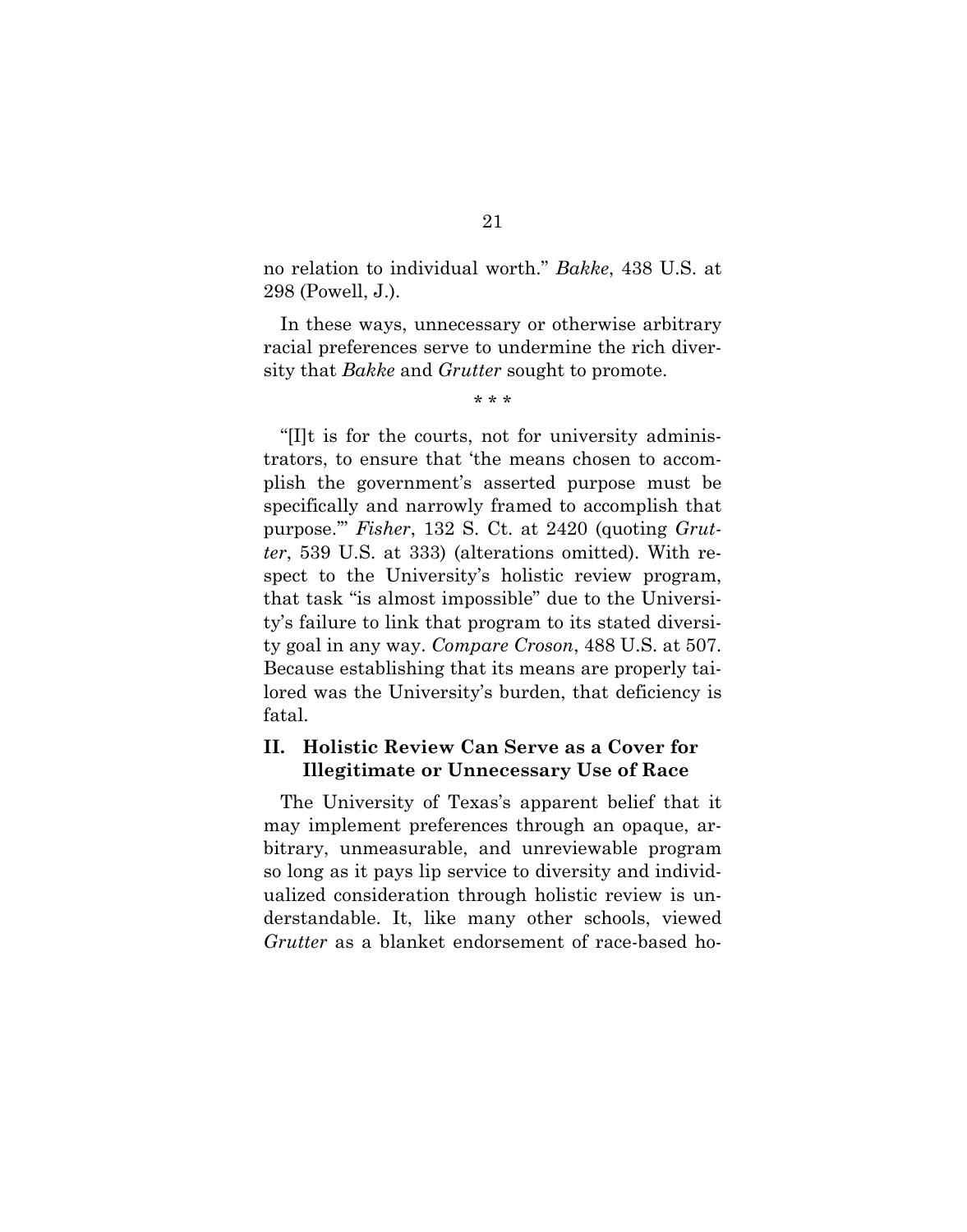no relation to individual worth." *Bakke*, 438 U.S. at 298 (Powell, J.).

In these ways, unnecessary or otherwise arbitrary racial preferences serve to undermine the rich diversity that *Bakke* and *Grutter* sought to promote.

\* \* \*

"[I]t is for the courts, not for university administrators, to ensure that 'the means chosen to accomplish the government's asserted purpose must be specifically and narrowly framed to accomplish that purpose.'" *Fisher*, 132 S. Ct. at 2420 (quoting *Grutter*, 539 U.S. at 333) (alterations omitted). With respect to the University's holistic review program, that task "is almost impossible" due to the University's failure to link that program to its stated diversity goal in any way. *Compare Croson*, 488 U.S. at 507. Because establishing that its means are properly tailored was the University's burden, that deficiency is fatal.

## **II. Holistic Review Can Serve as a Cover for Illegitimate or Unnecessary Use of Race**

The University of Texas's apparent belief that it may implement preferences through an opaque, arbitrary, unmeasurable, and unreviewable program so long as it pays lip service to diversity and individualized consideration through holistic review is understandable. It, like many other schools, viewed *Grutter* as a blanket endorsement of race-based ho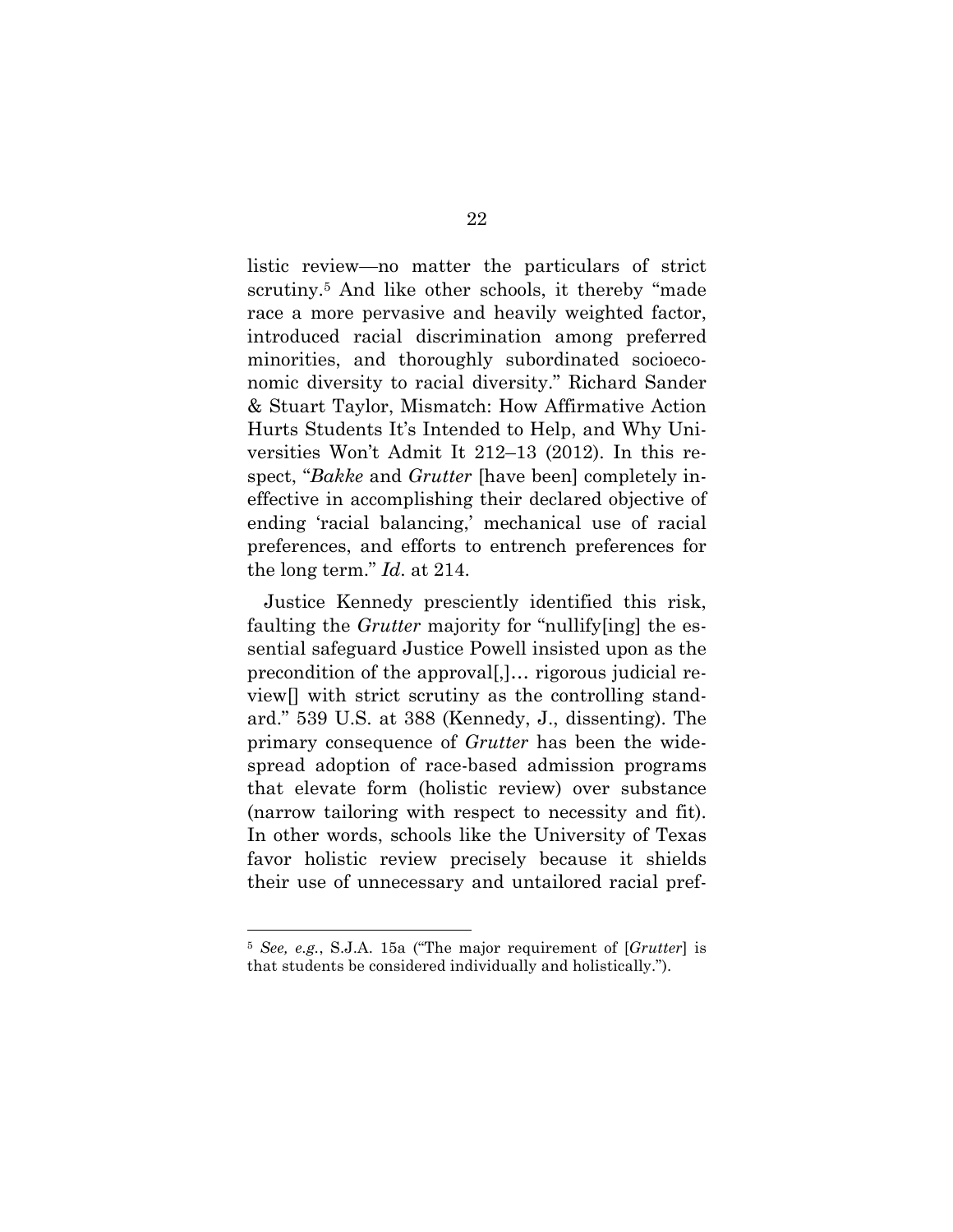listic review—no matter the particulars of strict scrutiny.<sup>5</sup> And like other schools, it thereby "made race a more pervasive and heavily weighted factor, introduced racial discrimination among preferred minorities, and thoroughly subordinated socioeconomic diversity to racial diversity." Richard Sander & Stuart Taylor, Mismatch: How Affirmative Action Hurts Students It's Intended to Help, and Why Universities Won't Admit It 212–13 (2012). In this respect, "*Bakke* and *Grutter* [have been] completely ineffective in accomplishing their declared objective of ending 'racial balancing,' mechanical use of racial preferences, and efforts to entrench preferences for the long term." *Id*. at 214.

Justice Kennedy presciently identified this risk, faulting the *Grutter* majority for "nullify[ing] the essential safeguard Justice Powell insisted upon as the precondition of the approval[,]… rigorous judicial review[] with strict scrutiny as the controlling standard." 539 U.S. at 388 (Kennedy, J., dissenting). The primary consequence of *Grutter* has been the widespread adoption of race-based admission programs that elevate form (holistic review) over substance (narrow tailoring with respect to necessity and fit). In other words, schools like the University of Texas favor holistic review precisely because it shields their use of unnecessary and untailored racial pref-

 <sup>5</sup> *See, e.g.*, S.J.A. 15a ("The major requirement of [*Grutter*] is that students be considered individually and holistically.").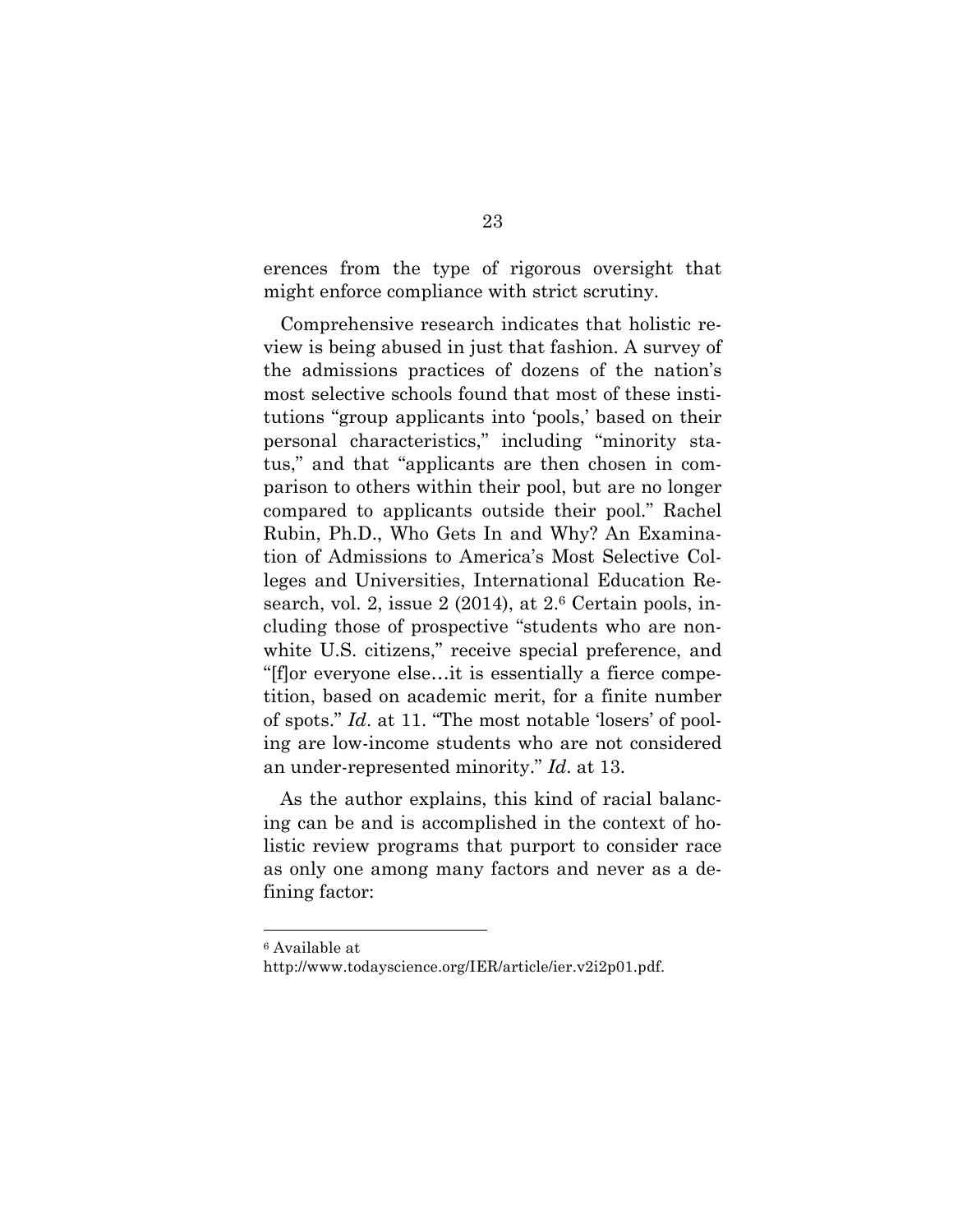erences from the type of rigorous oversight that might enforce compliance with strict scrutiny.

Comprehensive research indicates that holistic review is being abused in just that fashion. A survey of the admissions practices of dozens of the nation's most selective schools found that most of these institutions "group applicants into 'pools,' based on their personal characteristics," including "minority status," and that "applicants are then chosen in comparison to others within their pool, but are no longer compared to applicants outside their pool." Rachel Rubin, Ph.D., Who Gets In and Why? An Examination of Admissions to America's Most Selective Colleges and Universities, International Education Research, vol. 2, issue  $2(2014)$ , at  $2.6$  Certain pools, including those of prospective "students who are nonwhite U.S. citizens," receive special preference, and "[f]or everyone else…it is essentially a fierce competition, based on academic merit, for a finite number of spots." *Id*. at 11. "The most notable 'losers' of pooling are low-income students who are not considered an under-represented minority." *Id*. at 13.

As the author explains, this kind of racial balancing can be and is accomplished in the context of holistic review programs that purport to consider race as only one among many factors and never as a defining factor:

 <sup>6</sup> Available at

http://www.todayscience.org/IER/article/ier.v2i2p01.pdf.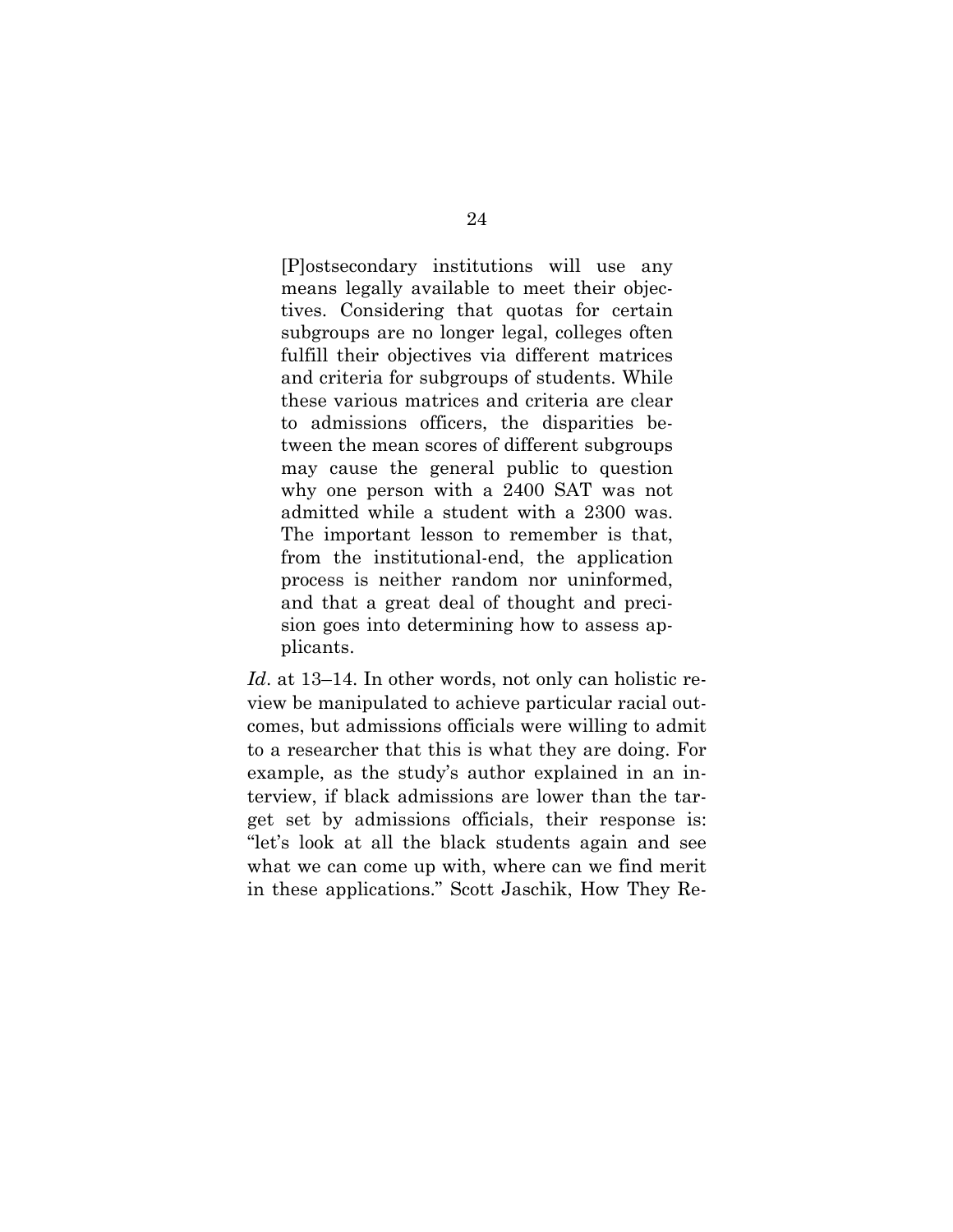[P]ostsecondary institutions will use any means legally available to meet their objectives. Considering that quotas for certain subgroups are no longer legal, colleges often fulfill their objectives via different matrices and criteria for subgroups of students. While these various matrices and criteria are clear to admissions officers, the disparities between the mean scores of different subgroups may cause the general public to question why one person with a 2400 SAT was not admitted while a student with a 2300 was. The important lesson to remember is that, from the institutional-end, the application process is neither random nor uninformed, and that a great deal of thought and precision goes into determining how to assess applicants.

*Id*. at 13–14. In other words, not only can holistic review be manipulated to achieve particular racial outcomes, but admissions officials were willing to admit to a researcher that this is what they are doing. For example, as the study's author explained in an interview, if black admissions are lower than the target set by admissions officials, their response is: "let's look at all the black students again and see what we can come up with, where can we find merit in these applications." Scott Jaschik, How They Re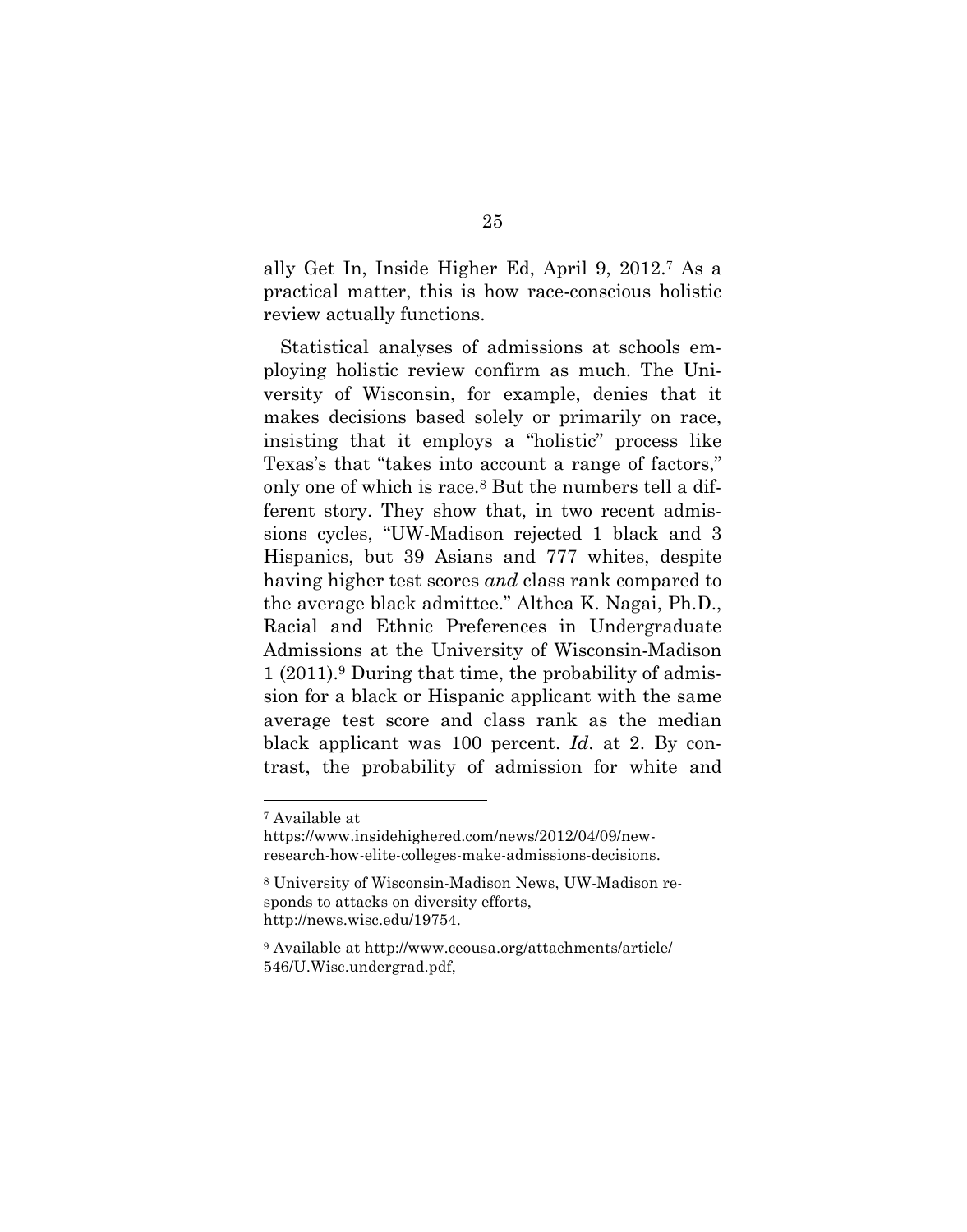ally Get In, Inside Higher Ed, April 9, 2012.7 As a practical matter, this is how race-conscious holistic review actually functions.

Statistical analyses of admissions at schools employing holistic review confirm as much. The University of Wisconsin, for example, denies that it makes decisions based solely or primarily on race, insisting that it employs a "holistic" process like Texas's that "takes into account a range of factors," only one of which is race.8 But the numbers tell a different story. They show that, in two recent admissions cycles, "UW-Madison rejected 1 black and 3 Hispanics, but 39 Asians and 777 whites, despite having higher test scores *and* class rank compared to the average black admittee." Althea K. Nagai, Ph.D., Racial and Ethnic Preferences in Undergraduate Admissions at the University of Wisconsin-Madison 1 (2011).9 During that time, the probability of admission for a black or Hispanic applicant with the same average test score and class rank as the median black applicant was 100 percent. *Id*. at 2. By contrast, the probability of admission for white and

 <sup>7</sup> Available at

https://www.insidehighered.com/news/2012/04/09/newresearch-how-elite-colleges-make-admissions-decisions.

<sup>8</sup> University of Wisconsin-Madison News, UW-Madison responds to attacks on diversity efforts, http://news.wisc.edu/19754.

<sup>9</sup> Available at http://www.ceousa.org/attachments/article/ 546/U.Wisc.undergrad.pdf,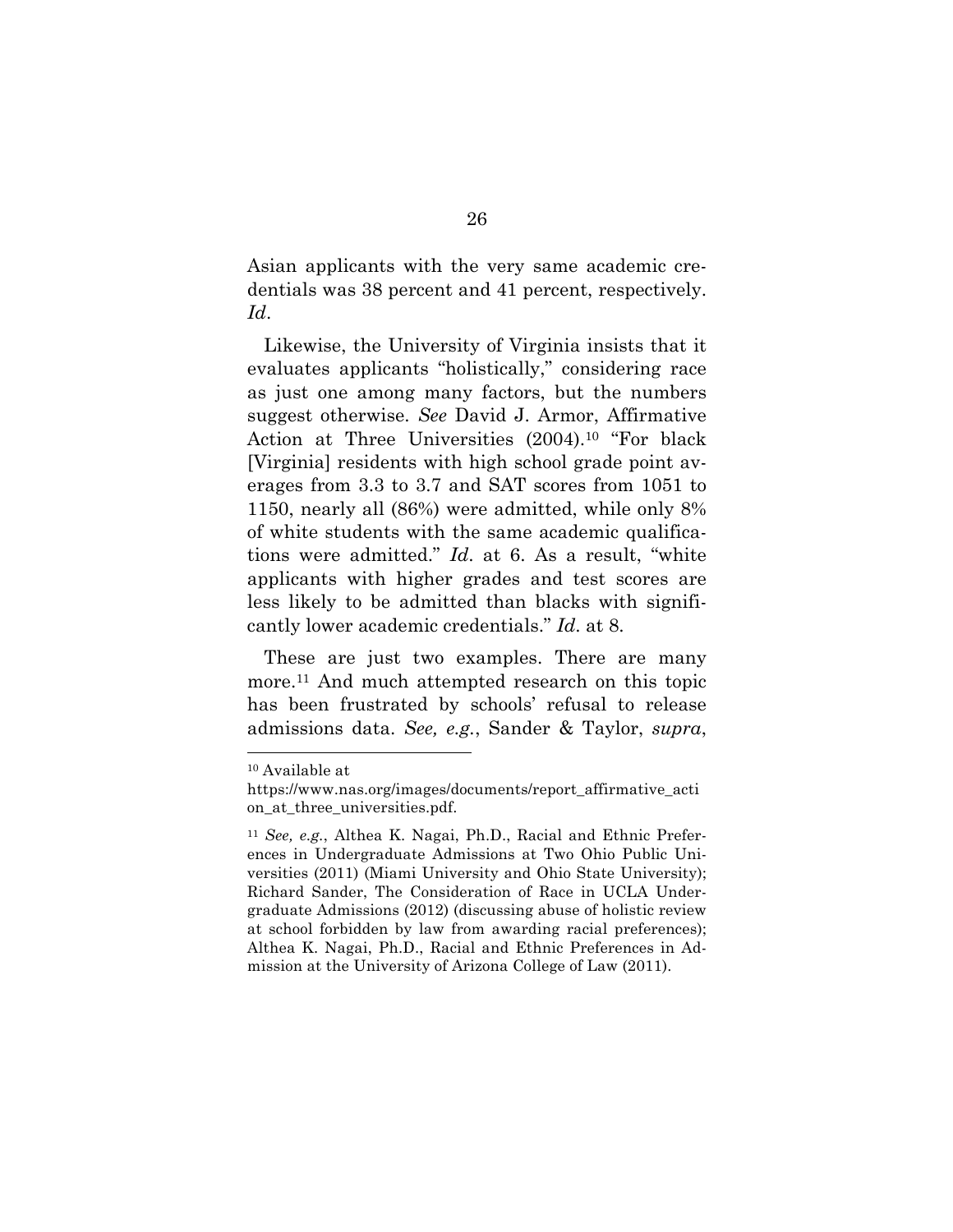Asian applicants with the very same academic credentials was 38 percent and 41 percent, respectively. *Id*.

Likewise, the University of Virginia insists that it evaluates applicants "holistically," considering race as just one among many factors, but the numbers suggest otherwise. *See* David J. Armor, Affirmative Action at Three Universities (2004).10 "For black [Virginia] residents with high school grade point averages from 3.3 to 3.7 and SAT scores from 1051 to 1150, nearly all (86%) were admitted, while only 8% of white students with the same academic qualifications were admitted." *Id*. at 6. As a result, "white applicants with higher grades and test scores are less likely to be admitted than blacks with significantly lower academic credentials." *Id*. at 8.

These are just two examples. There are many more.11 And much attempted research on this topic has been frustrated by schools' refusal to release admissions data. *See, e.g.*, Sander & Taylor, *supra*,

 <sup>10</sup> Available at

https://www.nas.org/images/documents/report\_affirmative\_acti on at three universities.pdf.

<sup>11</sup> *See, e.g.*, Althea K. Nagai, Ph.D., Racial and Ethnic Preferences in Undergraduate Admissions at Two Ohio Public Universities (2011) (Miami University and Ohio State University); Richard Sander, The Consideration of Race in UCLA Undergraduate Admissions (2012) (discussing abuse of holistic review at school forbidden by law from awarding racial preferences); Althea K. Nagai, Ph.D., Racial and Ethnic Preferences in Admission at the University of Arizona College of Law (2011).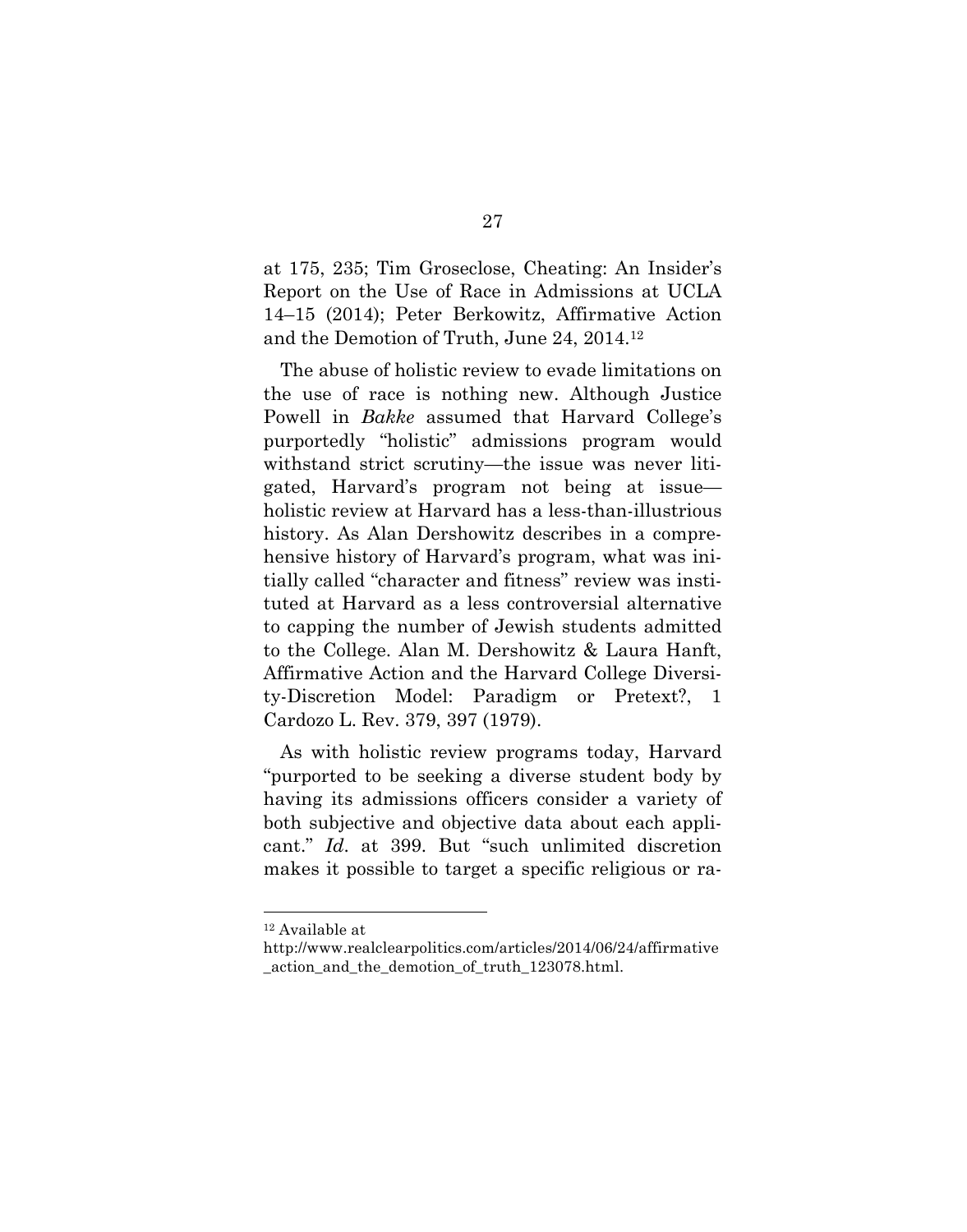at 175, 235; Tim Groseclose, Cheating: An Insider's Report on the Use of Race in Admissions at UCLA 14–15 (2014); Peter Berkowitz, Affirmative Action and the Demotion of Truth, June 24, 2014.12

The abuse of holistic review to evade limitations on the use of race is nothing new. Although Justice Powell in *Bakke* assumed that Harvard College's purportedly "holistic" admissions program would withstand strict scrutiny—the issue was never litigated, Harvard's program not being at issue holistic review at Harvard has a less-than-illustrious history. As Alan Dershowitz describes in a comprehensive history of Harvard's program, what was initially called "character and fitness" review was instituted at Harvard as a less controversial alternative to capping the number of Jewish students admitted to the College. Alan M. Dershowitz & Laura Hanft, Affirmative Action and the Harvard College Diversity-Discretion Model: Paradigm or Pretext?, 1 Cardozo L. Rev. 379, 397 (1979).

As with holistic review programs today, Harvard "purported to be seeking a diverse student body by having its admissions officers consider a variety of both subjective and objective data about each applicant." *Id*. at 399. But "such unlimited discretion makes it possible to target a specific religious or ra-

 <sup>12</sup> Available at

http://www.realclearpolitics.com/articles/2014/06/24/affirmative action and the demotion of truth 123078.html.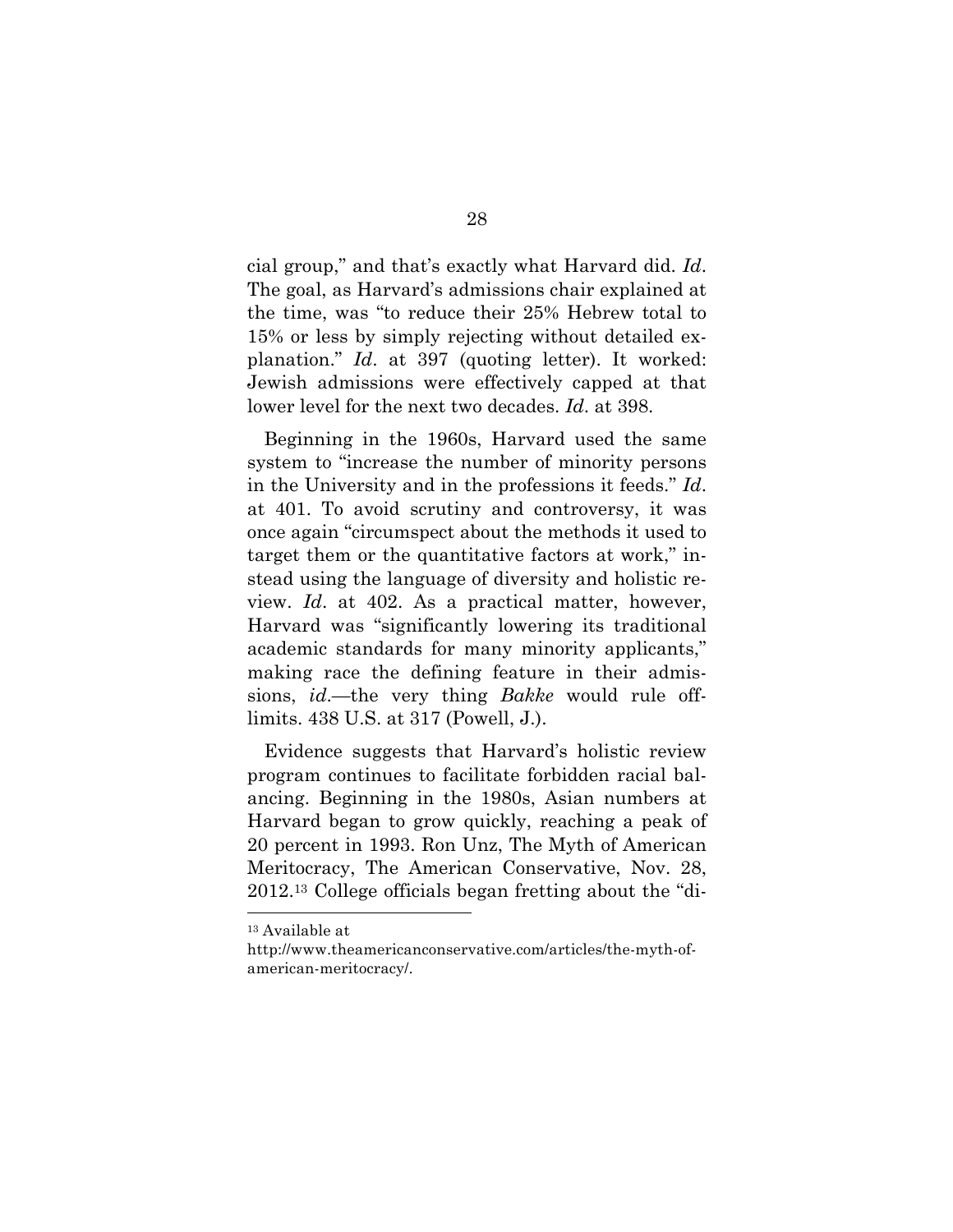cial group," and that's exactly what Harvard did. *Id*. The goal, as Harvard's admissions chair explained at the time, was "to reduce their 25% Hebrew total to 15% or less by simply rejecting without detailed explanation." *Id*. at 397 (quoting letter). It worked: Jewish admissions were effectively capped at that lower level for the next two decades. *Id*. at 398.

Beginning in the 1960s, Harvard used the same system to "increase the number of minority persons in the University and in the professions it feeds." *Id*. at 401. To avoid scrutiny and controversy, it was once again "circumspect about the methods it used to target them or the quantitative factors at work," instead using the language of diversity and holistic review. *Id*. at 402. As a practical matter, however, Harvard was "significantly lowering its traditional academic standards for many minority applicants," making race the defining feature in their admissions, *id*.—the very thing *Bakke* would rule offlimits. 438 U.S. at 317 (Powell, J.).

Evidence suggests that Harvard's holistic review program continues to facilitate forbidden racial balancing. Beginning in the 1980s, Asian numbers at Harvard began to grow quickly, reaching a peak of 20 percent in 1993. Ron Unz, The Myth of American Meritocracy, The American Conservative, Nov. 28, 2012.13 College officials began fretting about the "di-

 <sup>13</sup> Available at

http://www.theamericanconservative.com/articles/the-myth-ofamerican-meritocracy/.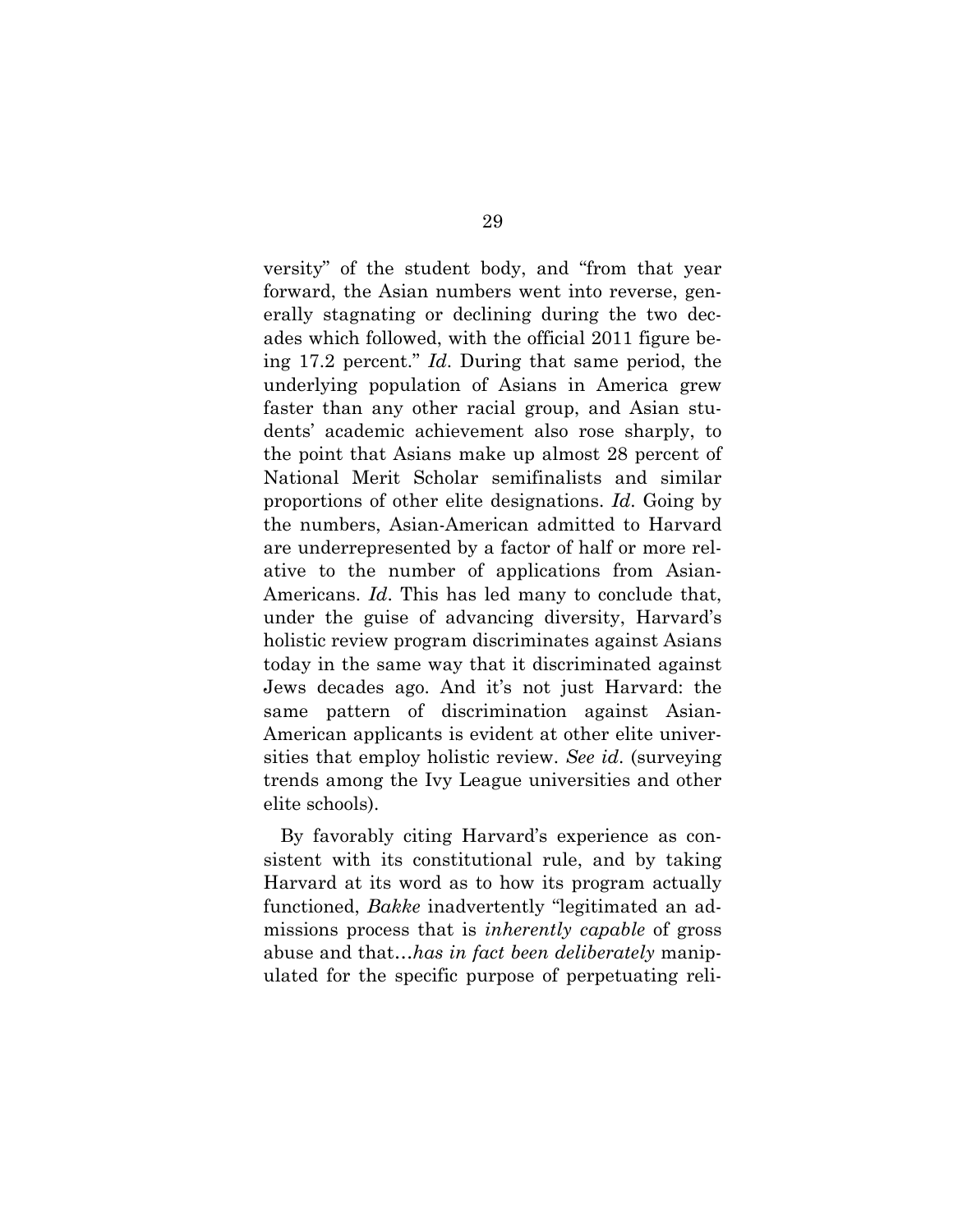versity" of the student body, and "from that year forward, the Asian numbers went into reverse, generally stagnating or declining during the two decades which followed, with the official 2011 figure being 17.2 percent." *Id*. During that same period, the underlying population of Asians in America grew faster than any other racial group, and Asian students' academic achievement also rose sharply, to the point that Asians make up almost 28 percent of National Merit Scholar semifinalists and similar proportions of other elite designations. *Id*. Going by the numbers, Asian-American admitted to Harvard are underrepresented by a factor of half or more relative to the number of applications from Asian-Americans. *Id*. This has led many to conclude that, under the guise of advancing diversity, Harvard's holistic review program discriminates against Asians today in the same way that it discriminated against Jews decades ago. And it's not just Harvard: the same pattern of discrimination against Asian-American applicants is evident at other elite universities that employ holistic review. *See id*. (surveying trends among the Ivy League universities and other elite schools).

By favorably citing Harvard's experience as consistent with its constitutional rule, and by taking Harvard at its word as to how its program actually functioned, *Bakke* inadvertently "legitimated an admissions process that is *inherently capable* of gross abuse and that…*has in fact been deliberately* manipulated for the specific purpose of perpetuating reli-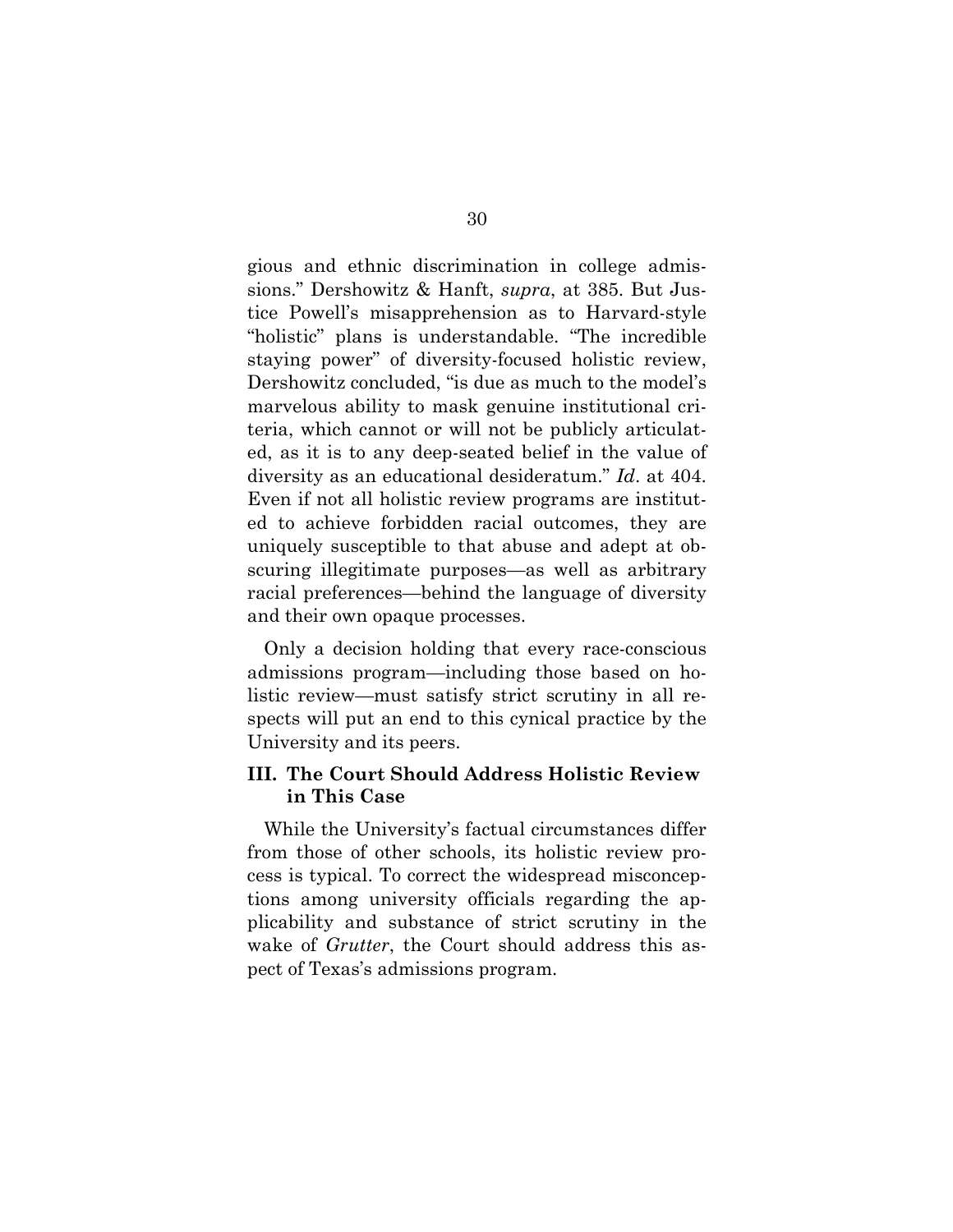gious and ethnic discrimination in college admissions." Dershowitz & Hanft, *supra*, at 385. But Justice Powell's misapprehension as to Harvard-style "holistic" plans is understandable. "The incredible staying power" of diversity-focused holistic review, Dershowitz concluded, "is due as much to the model's marvelous ability to mask genuine institutional criteria, which cannot or will not be publicly articulated, as it is to any deep-seated belief in the value of diversity as an educational desideratum." *Id*. at 404. Even if not all holistic review programs are instituted to achieve forbidden racial outcomes, they are uniquely susceptible to that abuse and adept at obscuring illegitimate purposes—as well as arbitrary racial preferences—behind the language of diversity and their own opaque processes.

Only a decision holding that every race-conscious admissions program—including those based on holistic review—must satisfy strict scrutiny in all respects will put an end to this cynical practice by the University and its peers.

## **III. The Court Should Address Holistic Review in This Case**

While the University's factual circumstances differ from those of other schools, its holistic review process is typical. To correct the widespread misconceptions among university officials regarding the applicability and substance of strict scrutiny in the wake of *Grutter*, the Court should address this aspect of Texas's admissions program.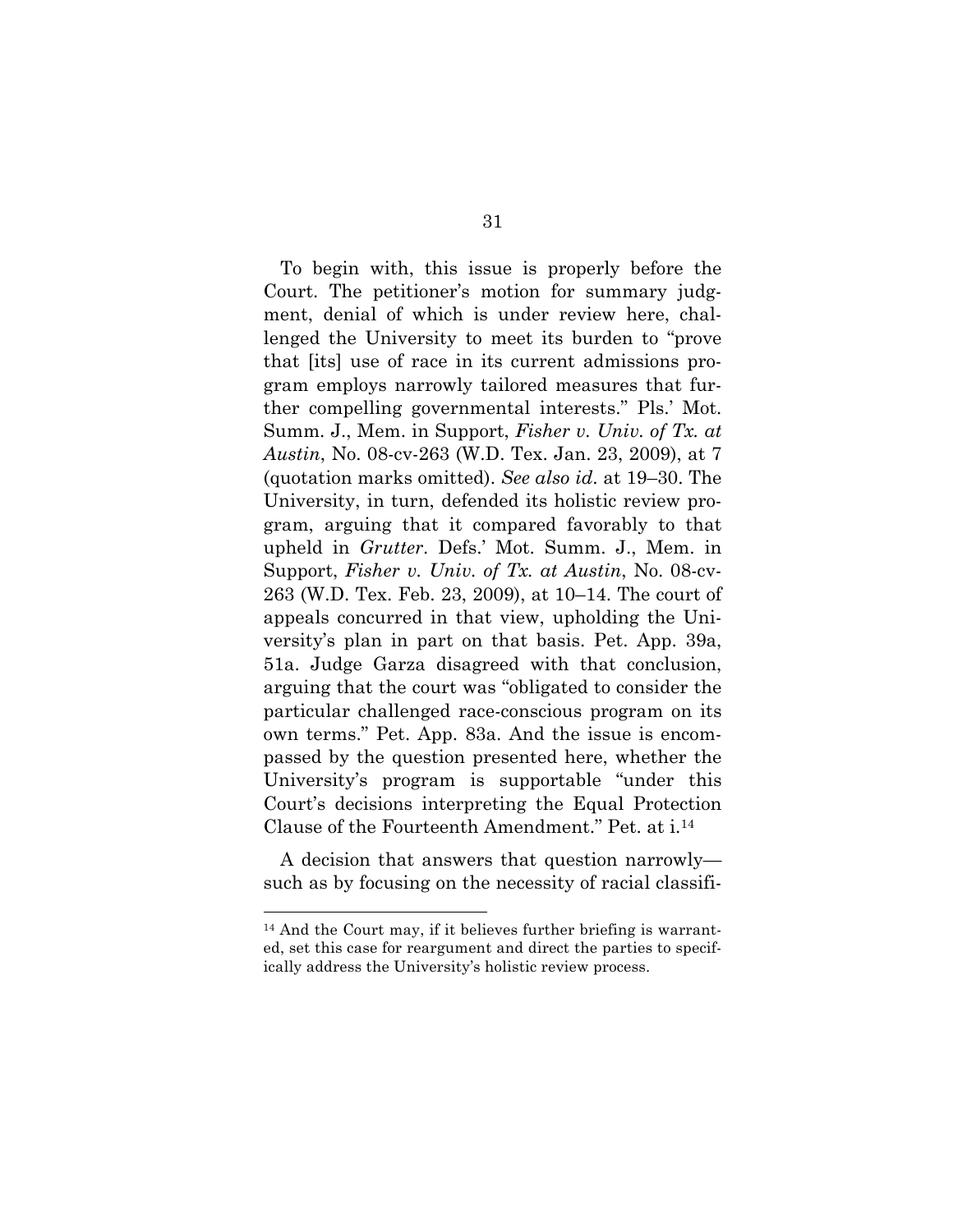To begin with, this issue is properly before the Court. The petitioner's motion for summary judgment, denial of which is under review here, challenged the University to meet its burden to "prove that [its] use of race in its current admissions program employs narrowly tailored measures that further compelling governmental interests." Pls.' Mot. Summ. J., Mem. in Support, *Fisher v. Univ. of Tx. at Austin*, No. 08-cv-263 (W.D. Tex. Jan. 23, 2009), at 7 (quotation marks omitted). *See also id*. at 19–30. The University, in turn, defended its holistic review program, arguing that it compared favorably to that upheld in *Grutter*. Defs.' Mot. Summ. J., Mem. in Support, *Fisher v. Univ. of Tx. at Austin*, No. 08-cv-263 (W.D. Tex. Feb. 23, 2009), at 10–14. The court of appeals concurred in that view, upholding the University's plan in part on that basis. Pet. App. 39a, 51a. Judge Garza disagreed with that conclusion, arguing that the court was "obligated to consider the particular challenged race-conscious program on its own terms." Pet. App. 83a. And the issue is encompassed by the question presented here, whether the University's program is supportable "under this Court's decisions interpreting the Equal Protection Clause of the Fourteenth Amendment." Pet. at i.14

A decision that answers that question narrowly such as by focusing on the necessity of racial classifi-

 <sup>14</sup> And the Court may, if it believes further briefing is warranted, set this case for reargument and direct the parties to specifically address the University's holistic review process.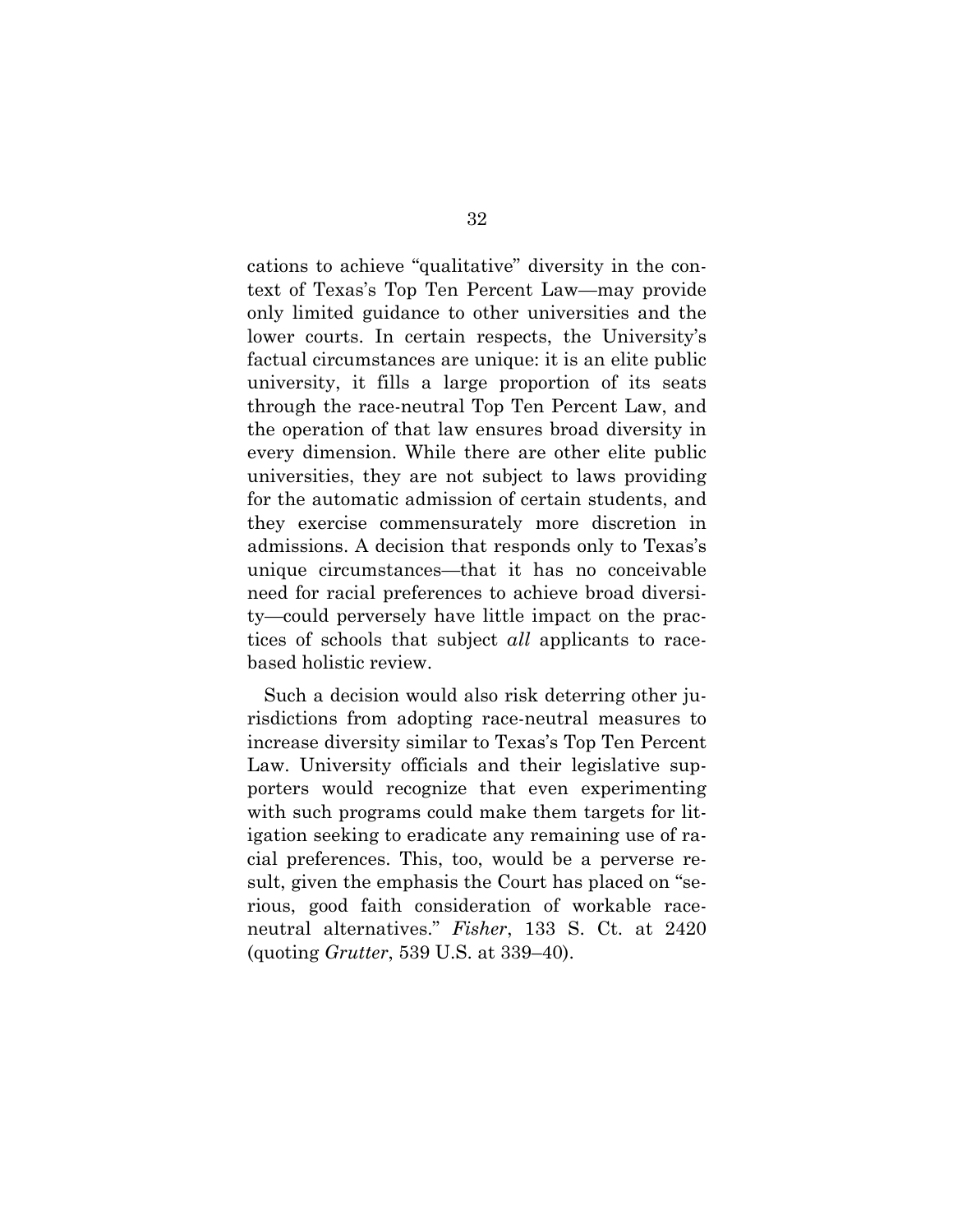cations to achieve "qualitative" diversity in the context of Texas's Top Ten Percent Law—may provide only limited guidance to other universities and the lower courts. In certain respects, the University's factual circumstances are unique: it is an elite public university, it fills a large proportion of its seats through the race-neutral Top Ten Percent Law, and the operation of that law ensures broad diversity in every dimension. While there are other elite public universities, they are not subject to laws providing for the automatic admission of certain students, and they exercise commensurately more discretion in admissions. A decision that responds only to Texas's unique circumstances—that it has no conceivable need for racial preferences to achieve broad diversity—could perversely have little impact on the practices of schools that subject *all* applicants to racebased holistic review.

Such a decision would also risk deterring other jurisdictions from adopting race-neutral measures to increase diversity similar to Texas's Top Ten Percent Law. University officials and their legislative supporters would recognize that even experimenting with such programs could make them targets for litigation seeking to eradicate any remaining use of racial preferences. This, too, would be a perverse result, given the emphasis the Court has placed on "serious, good faith consideration of workable raceneutral alternatives." *Fisher*, 133 S. Ct. at 2420 (quoting *Grutter*, 539 U.S. at 339–40).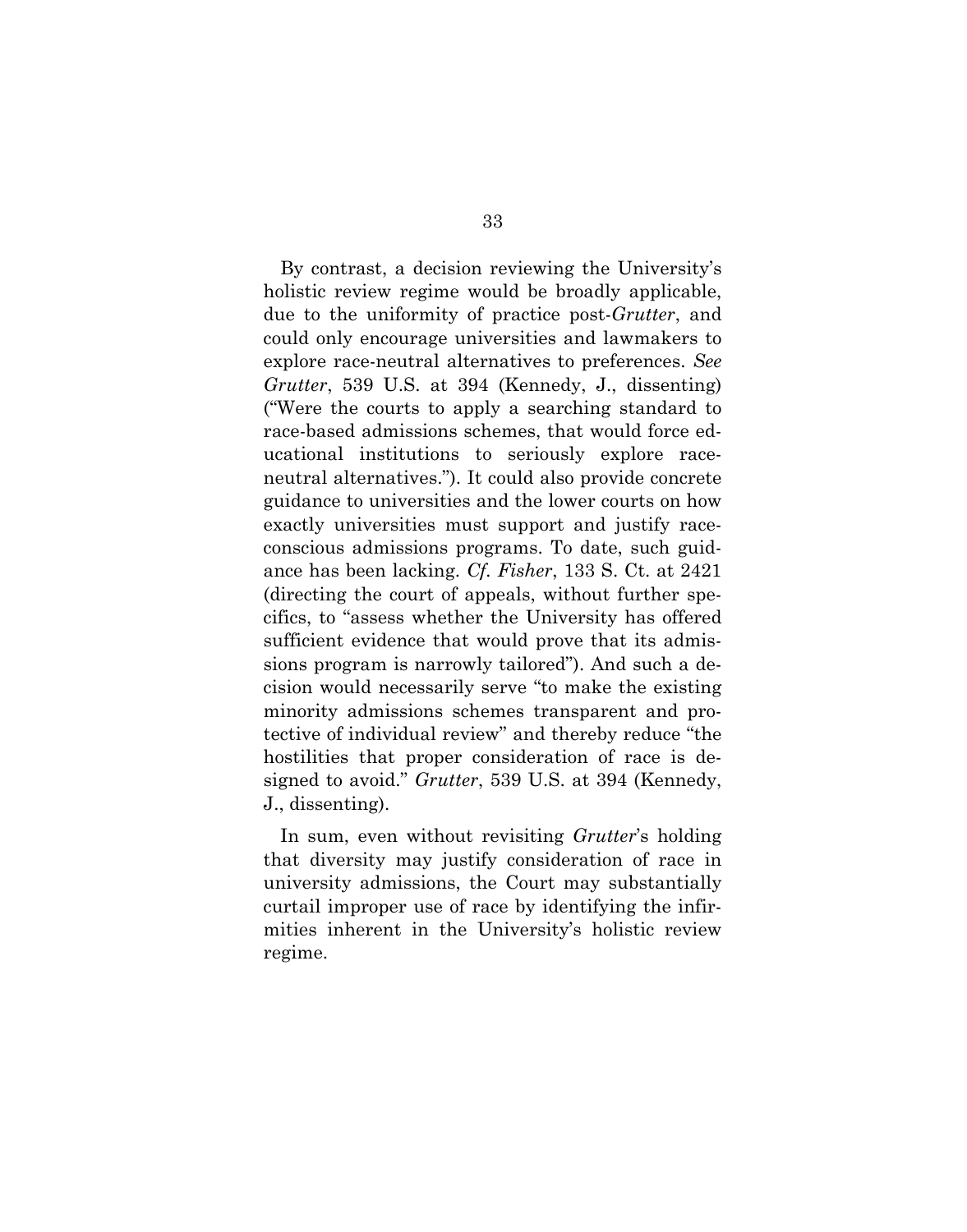By contrast, a decision reviewing the University's holistic review regime would be broadly applicable, due to the uniformity of practice post-*Grutter*, and could only encourage universities and lawmakers to explore race-neutral alternatives to preferences. *See Grutter*, 539 U.S. at 394 (Kennedy, J., dissenting) ("Were the courts to apply a searching standard to race-based admissions schemes, that would force educational institutions to seriously explore raceneutral alternatives."). It could also provide concrete guidance to universities and the lower courts on how exactly universities must support and justify raceconscious admissions programs. To date, such guidance has been lacking. *Cf. Fisher*, 133 S. Ct. at 2421 (directing the court of appeals, without further specifics, to "assess whether the University has offered sufficient evidence that would prove that its admissions program is narrowly tailored"). And such a decision would necessarily serve "to make the existing minority admissions schemes transparent and protective of individual review" and thereby reduce "the hostilities that proper consideration of race is designed to avoid." *Grutter*, 539 U.S. at 394 (Kennedy, J., dissenting).

In sum, even without revisiting *Grutter*'s holding that diversity may justify consideration of race in university admissions, the Court may substantially curtail improper use of race by identifying the infirmities inherent in the University's holistic review regime.